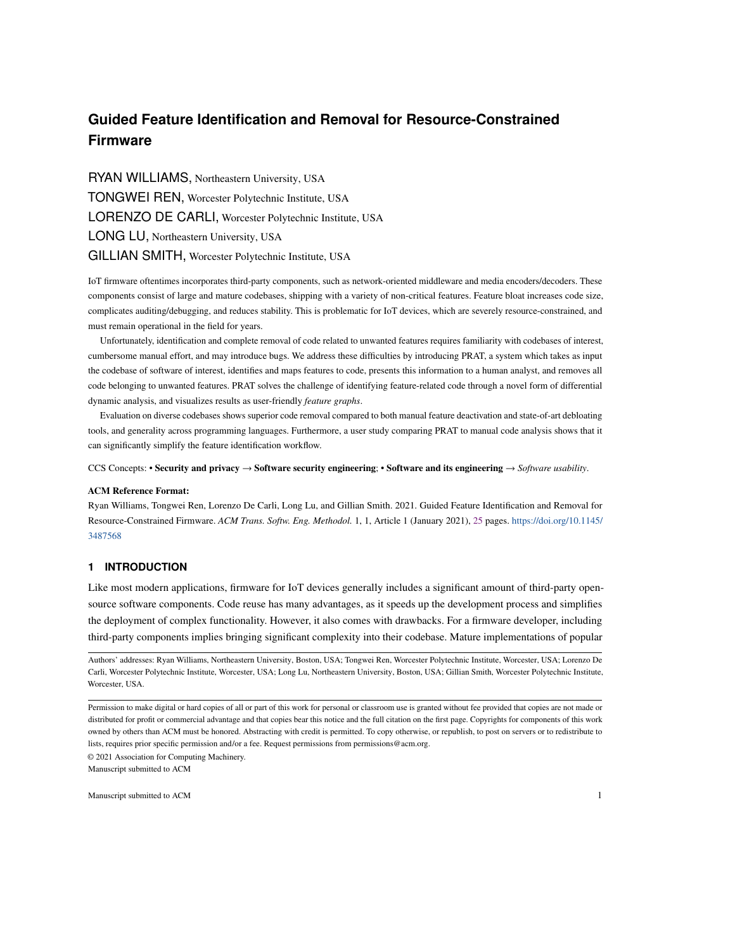RYAN WILLIAMS, Northeastern University, USA TONGWEI REN, Worcester Polytechnic Institute, USA LORENZO DE CARLI, Worcester Polytechnic Institute, USA LONG LU, Northeastern University, USA GILLIAN SMITH, Worcester Polytechnic Institute, USA

IoT firmware oftentimes incorporates third-party components, such as network-oriented middleware and media encoders/decoders. These components consist of large and mature codebases, shipping with a variety of non-critical features. Feature bloat increases code size, complicates auditing/debugging, and reduces stability. This is problematic for IoT devices, which are severely resource-constrained, and must remain operational in the field for years.

Unfortunately, identification and complete removal of code related to unwanted features requires familiarity with codebases of interest, cumbersome manual effort, and may introduce bugs. We address these difficulties by introducing PRAT, a system which takes as input the codebase of software of interest, identifies and maps features to code, presents this information to a human analyst, and removes all code belonging to unwanted features. PRAT solves the challenge of identifying feature-related code through a novel form of differential dynamic analysis, and visualizes results as user-friendly *feature graphs*.

Evaluation on diverse codebases shows superior code removal compared to both manual feature deactivation and state-of-art debloating tools, and generality across programming languages. Furthermore, a user study comparing PRAT to manual code analysis shows that it can significantly simplify the feature identification workflow.

CCS Concepts: • Security and privacy → Software security engineering; • Software and its engineering → *Software usability*.

#### ACM Reference Format:

Ryan Williams, Tongwei Ren, Lorenzo De Carli, Long Lu, and Gillian Smith. 2021. Guided Feature Identification and Removal for Resource-Constrained Firmware. *ACM Trans. Softw. Eng. Methodol.* 1, 1, Article 1 (January 2021), [25](#page-24-0) pages. [https://doi.org/10.1145/](https://doi.org/10.1145/3487568) [3487568](https://doi.org/10.1145/3487568)

### <span id="page-0-0"></span>**1 INTRODUCTION**

Like most modern applications, firmware for IoT devices generally includes a significant amount of third-party opensource software components. Code reuse has many advantages, as it speeds up the development process and simplifies the deployment of complex functionality. However, it also comes with drawbacks. For a firmware developer, including third-party components implies bringing significant complexity into their codebase. Mature implementations of popular

© 2021 Association for Computing Machinery. Manuscript submitted to ACM

Authors' addresses: Ryan Williams, Northeastern University, Boston, USA; Tongwei Ren, Worcester Polytechnic Institute, Worcester, USA; Lorenzo De Carli, Worcester Polytechnic Institute, Worcester, USA; Long Lu, Northeastern University, Boston, USA; Gillian Smith, Worcester Polytechnic Institute, Worcester, USA.

Permission to make digital or hard copies of all or part of this work for personal or classroom use is granted without fee provided that copies are not made or distributed for profit or commercial advantage and that copies bear this notice and the full citation on the first page. Copyrights for components of this work owned by others than ACM must be honored. Abstracting with credit is permitted. To copy otherwise, or republish, to post on servers or to redistribute to lists, requires prior specific permission and/or a fee. Request permissions from permissions@acm.org.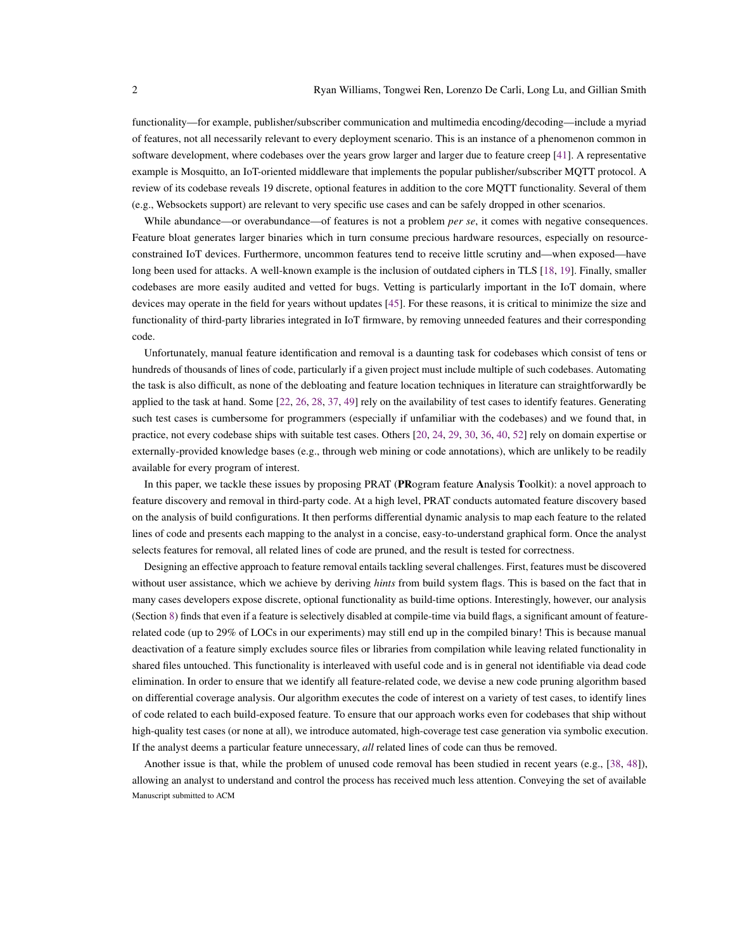functionality—for example, publisher/subscriber communication and multimedia encoding/decoding—include a myriad of features, not all necessarily relevant to every deployment scenario. This is an instance of a phenomenon common in software development, where codebases over the years grow larger and larger due to feature creep [\[41\]](#page-23-0). A representative example is Mosquitto, an IoT-oriented middleware that implements the popular publisher/subscriber MQTT protocol. A review of its codebase reveals 19 discrete, optional features in addition to the core MQTT functionality. Several of them (e.g., Websockets support) are relevant to very specific use cases and can be safely dropped in other scenarios.

While abundance—or overabundance—of features is not a problem *per se*, it comes with negative consequences. Feature bloat generates larger binaries which in turn consume precious hardware resources, especially on resourceconstrained IoT devices. Furthermore, uncommon features tend to receive little scrutiny and—when exposed—have long been used for attacks. A well-known example is the inclusion of outdated ciphers in TLS [\[18,](#page-22-0) [19\]](#page-22-1). Finally, smaller codebases are more easily audited and vetted for bugs. Vetting is particularly important in the IoT domain, where devices may operate in the field for years without updates [\[45\]](#page-23-1). For these reasons, it is critical to minimize the size and functionality of third-party libraries integrated in IoT firmware, by removing unneeded features and their corresponding code.

Unfortunately, manual feature identification and removal is a daunting task for codebases which consist of tens or hundreds of thousands of lines of code, particularly if a given project must include multiple of such codebases. Automating the task is also difficult, as none of the debloating and feature location techniques in literature can straightforwardly be applied to the task at hand. Some [\[22,](#page-23-2) [26,](#page-23-3) [28,](#page-23-4) [37,](#page-23-5) [49\]](#page-23-6) rely on the availability of test cases to identify features. Generating such test cases is cumbersome for programmers (especially if unfamiliar with the codebases) and we found that, in practice, not every codebase ships with suitable test cases. Others [\[20,](#page-22-2) [24,](#page-23-7) [29,](#page-23-8) [30,](#page-23-9) [36,](#page-23-10) [40,](#page-23-11) [52\]](#page-24-1) rely on domain expertise or externally-provided knowledge bases (e.g., through web mining or code annotations), which are unlikely to be readily available for every program of interest.

In this paper, we tackle these issues by proposing PRAT (PRogram feature Analysis Toolkit): a novel approach to feature discovery and removal in third-party code. At a high level, PRAT conducts automated feature discovery based on the analysis of build configurations. It then performs differential dynamic analysis to map each feature to the related lines of code and presents each mapping to the analyst in a concise, easy-to-understand graphical form. Once the analyst selects features for removal, all related lines of code are pruned, and the result is tested for correctness.

Designing an effective approach to feature removal entails tackling several challenges. First, features must be discovered without user assistance, which we achieve by deriving *hints* from build system flags. This is based on the fact that in many cases developers expose discrete, optional functionality as build-time options. Interestingly, however, our analysis (Section [8\)](#page-11-0) finds that even if a feature is selectively disabled at compile-time via build flags, a significant amount of featurerelated code (up to 29% of LOCs in our experiments) may still end up in the compiled binary! This is because manual deactivation of a feature simply excludes source files or libraries from compilation while leaving related functionality in shared files untouched. This functionality is interleaved with useful code and is in general not identifiable via dead code elimination. In order to ensure that we identify all feature-related code, we devise a new code pruning algorithm based on differential coverage analysis. Our algorithm executes the code of interest on a variety of test cases, to identify lines of code related to each build-exposed feature. To ensure that our approach works even for codebases that ship without high-quality test cases (or none at all), we introduce automated, high-coverage test case generation via symbolic execution. If the analyst deems a particular feature unnecessary, *all* related lines of code can thus be removed.

Another issue is that, while the problem of unused code removal has been studied in recent years (e.g., [\[38,](#page-23-12) [48\]](#page-23-13)), allowing an analyst to understand and control the process has received much less attention. Conveying the set of available Manuscript submitted to ACM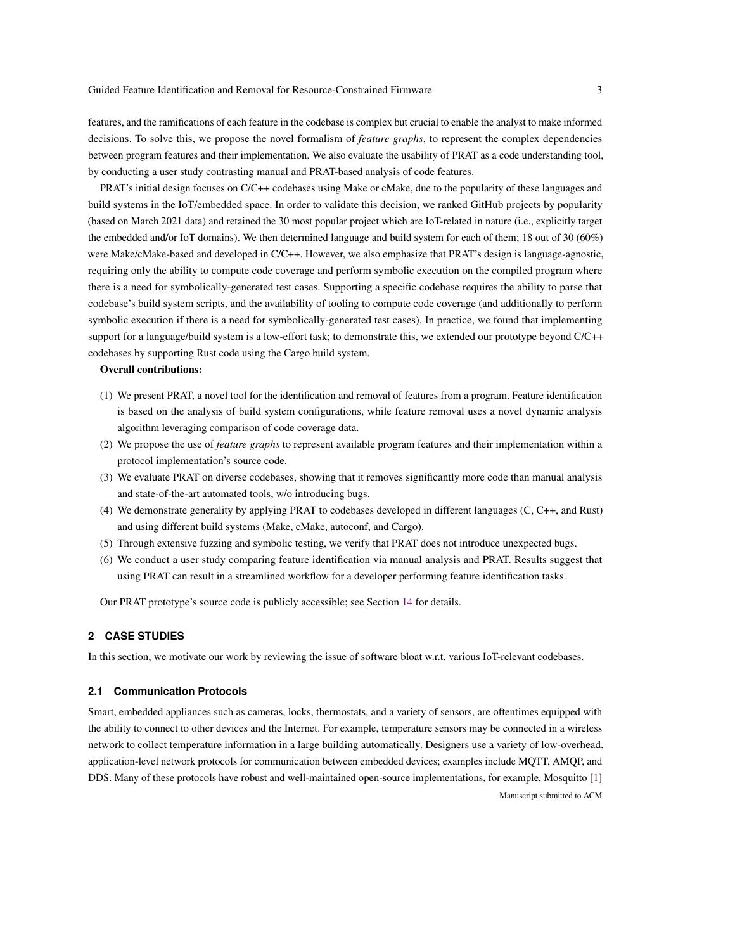features, and the ramifications of each feature in the codebase is complex but crucial to enable the analyst to make informed decisions. To solve this, we propose the novel formalism of *feature graphs*, to represent the complex dependencies between program features and their implementation. We also evaluate the usability of PRAT as a code understanding tool, by conducting a user study contrasting manual and PRAT-based analysis of code features.

PRAT's initial design focuses on C/C++ codebases using Make or cMake, due to the popularity of these languages and build systems in the IoT/embedded space. In order to validate this decision, we ranked GitHub projects by popularity (based on March 2021 data) and retained the 30 most popular project which are IoT-related in nature (i.e., explicitly target the embedded and/or IoT domains). We then determined language and build system for each of them; 18 out of 30 (60%) were Make/cMake-based and developed in C/C++. However, we also emphasize that PRAT's design is language-agnostic, requiring only the ability to compute code coverage and perform symbolic execution on the compiled program where there is a need for symbolically-generated test cases. Supporting a specific codebase requires the ability to parse that codebase's build system scripts, and the availability of tooling to compute code coverage (and additionally to perform symbolic execution if there is a need for symbolically-generated test cases). In practice, we found that implementing support for a language/build system is a low-effort task; to demonstrate this, we extended our prototype beyond C/C++ codebases by supporting Rust code using the Cargo build system.

# Overall contributions:

- (1) We present PRAT, a novel tool for the identification and removal of features from a program. Feature identification is based on the analysis of build system configurations, while feature removal uses a novel dynamic analysis algorithm leveraging comparison of code coverage data.
- (2) We propose the use of *feature graphs* to represent available program features and their implementation within a protocol implementation's source code.
- (3) We evaluate PRAT on diverse codebases, showing that it removes significantly more code than manual analysis and state-of-the-art automated tools, w/o introducing bugs.
- (4) We demonstrate generality by applying PRAT to codebases developed in different languages (C, C++, and Rust) and using different build systems (Make, cMake, autoconf, and Cargo).
- (5) Through extensive fuzzing and symbolic testing, we verify that PRAT does not introduce unexpected bugs.
- (6) We conduct a user study comparing feature identification via manual analysis and PRAT. Results suggest that using PRAT can result in a streamlined workflow for a developer performing feature identification tasks.

Our PRAT prototype's source code is publicly accessible; see Section [14](#page-22-3) for details.

# **2 CASE STUDIES**

In this section, we motivate our work by reviewing the issue of software bloat w.r.t. various IoT-relevant codebases.

# **2.1 Communication Protocols**

Smart, embedded appliances such as cameras, locks, thermostats, and a variety of sensors, are oftentimes equipped with the ability to connect to other devices and the Internet. For example, temperature sensors may be connected in a wireless network to collect temperature information in a large building automatically. Designers use a variety of low-overhead, application-level network protocols for communication between embedded devices; examples include MQTT, AMQP, and DDS. Many of these protocols have robust and well-maintained open-source implementations, for example, Mosquitto [\[1\]](#page-22-4) Manuscript submitted to ACM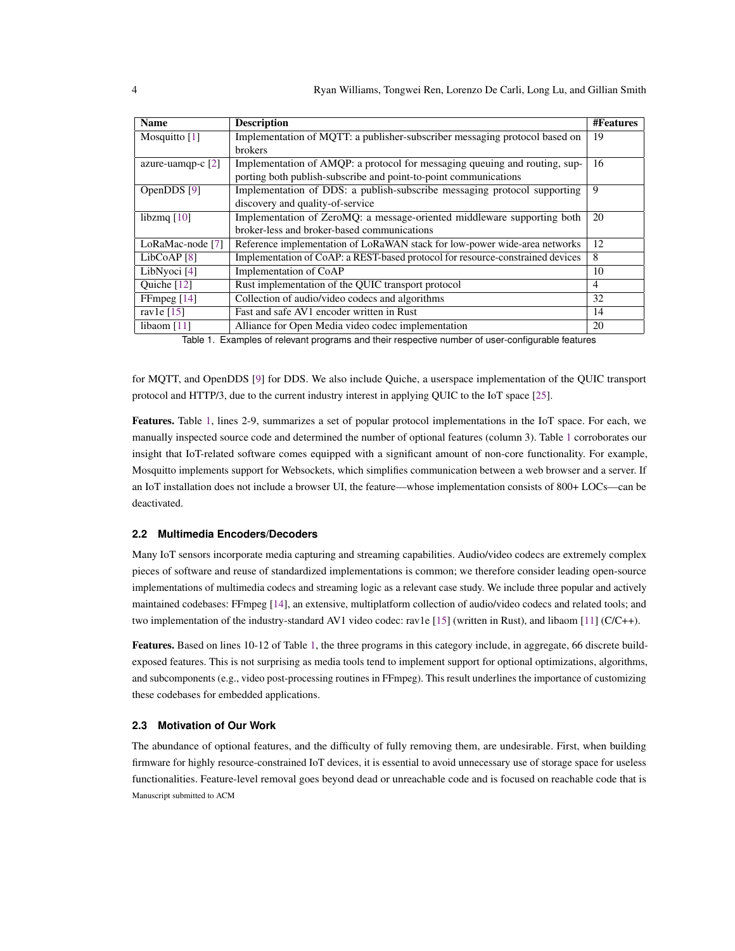<span id="page-3-0"></span>

| <b>Name</b>             | <b>Description</b>                                                             | <b>#Features</b> |
|-------------------------|--------------------------------------------------------------------------------|------------------|
| Mosquitto $[1]$         | Implementation of MQTT: a publisher-subscriber messaging protocol based on     | 19               |
|                         | brokers                                                                        |                  |
| azure-uamqp-c $[2]$     | Implementation of AMQP: a protocol for messaging queuing and routing, sup-     | 16               |
|                         | porting both publish-subscribe and point-to-point communications               |                  |
| OpenDDS [9]             | Implementation of DDS: a publish-subscribe messaging protocol supporting       | 9                |
|                         | discovery and quality-of-service                                               |                  |
| libzmq $[10]$           | Implementation of ZeroMQ: a message-oriented middleware supporting both        | 20               |
|                         | broker-less and broker-based communications                                    |                  |
| LoRaMac-node [7]        | Reference implementation of LoRaWAN stack for low-power wide-area networks     | 12               |
| LibCoAP <sup>[8]</sup>  | Implementation of CoAP: a REST-based protocol for resource-constrained devices | 8                |
| LibNyoci <sup>[4]</sup> | Implementation of CoAP                                                         | 10               |
| Ouiche [12]             | Rust implementation of the OUIC transport protocol                             | $\overline{4}$   |
| FFmpeg $[14]$           | Collection of audio/video codecs and algorithms                                | 32               |
| ravle $[15]$            | Fast and safe AV1 encoder written in Rust                                      | 14               |
| libaom $[11]$           | Alliance for Open Media video codec implementation                             | 20               |

Table 1. Examples of relevant programs and their respective number of user-configurable features

for MQTT, and OpenDDS [\[9\]](#page-22-6) for DDS. We also include Quiche, a userspace implementation of the QUIC transport protocol and HTTP/3, due to the current industry interest in applying QUIC to the IoT space [\[25\]](#page-23-14).

Features. Table [1,](#page-3-0) lines 2-9, summarizes a set of popular protocol implementations in the IoT space. For each, we manually inspected source code and determined the number of optional features (column 3). Table [1](#page-3-0) corroborates our insight that IoT-related software comes equipped with a significant amount of non-core functionality. For example, Mosquitto implements support for Websockets, which simplifies communication between a web browser and a server. If an IoT installation does not include a browser UI, the feature—whose implementation consists of 800+ LOCs—can be deactivated.

# **2.2 Multimedia Encoders/Decoders**

Many IoT sensors incorporate media capturing and streaming capabilities. Audio/video codecs are extremely complex pieces of software and reuse of standardized implementations is common; we therefore consider leading open-source implementations of multimedia codecs and streaming logic as a relevant case study. We include three popular and actively maintained codebases: FFmpeg [\[14\]](#page-22-12), an extensive, multiplatform collection of audio/video codecs and related tools; and two implementation of the industry-standard AV1 video codec: rav1e [\[15\]](#page-22-13) (written in Rust), and libaom [\[11\]](#page-22-14) (C/C++).

Features. Based on lines 10-12 of Table [1,](#page-3-0) the three programs in this category include, in aggregate, 66 discrete buildexposed features. This is not surprising as media tools tend to implement support for optional optimizations, algorithms, and subcomponents (e.g., video post-processing routines in FFmpeg). This result underlines the importance of customizing these codebases for embedded applications.

# **2.3 Motivation of Our Work**

The abundance of optional features, and the difficulty of fully removing them, are undesirable. First, when building firmware for highly resource-constrained IoT devices, it is essential to avoid unnecessary use of storage space for useless functionalities. Feature-level removal goes beyond dead or unreachable code and is focused on reachable code that is Manuscript submitted to ACM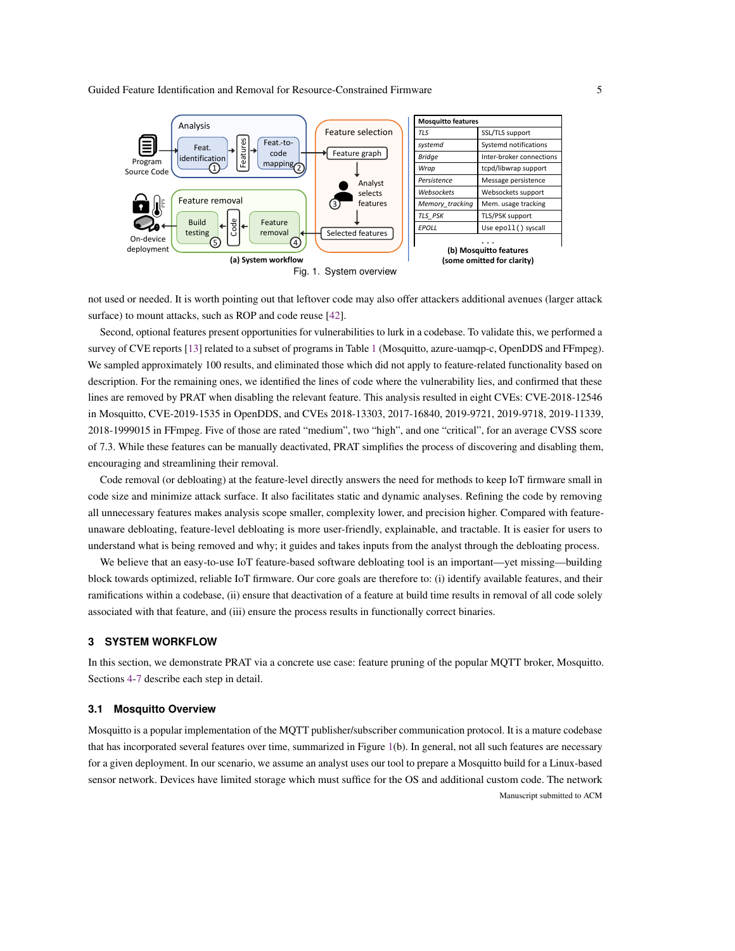<span id="page-4-0"></span>

not used or needed. It is worth pointing out that leftover code may also offer attackers additional avenues (larger attack surface) to mount attacks, such as ROP and code reuse [\[42\]](#page-23-15).

Second, optional features present opportunities for vulnerabilities to lurk in a codebase. To validate this, we performed a survey of CVE reports [\[13\]](#page-22-15) related to a subset of programs in Table [1](#page-3-0) (Mosquitto, azure-uamqp-c, OpenDDS and FFmpeg). We sampled approximately 100 results, and eliminated those which did not apply to feature-related functionality based on description. For the remaining ones, we identified the lines of code where the vulnerability lies, and confirmed that these lines are removed by PRAT when disabling the relevant feature. This analysis resulted in eight CVEs: CVE-2018-12546 in Mosquitto, CVE-2019-1535 in OpenDDS, and CVEs 2018-13303, 2017-16840, 2019-9721, 2019-9718, 2019-11339, 2018-1999015 in FFmpeg. Five of those are rated "medium", two "high", and one "critical", for an average CVSS score of 7.3. While these features can be manually deactivated, PRAT simplifies the process of discovering and disabling them, encouraging and streamlining their removal.

Code removal (or debloating) at the feature-level directly answers the need for methods to keep IoT firmware small in code size and minimize attack surface. It also facilitates static and dynamic analyses. Refining the code by removing all unnecessary features makes analysis scope smaller, complexity lower, and precision higher. Compared with featureunaware debloating, feature-level debloating is more user-friendly, explainable, and tractable. It is easier for users to understand what is being removed and why; it guides and takes inputs from the analyst through the debloating process.

We believe that an easy-to-use IoT feature-based software debloating tool is an important—yet missing—building block towards optimized, reliable IoT firmware. Our core goals are therefore to: (i) identify available features, and their ramifications within a codebase, (ii) ensure that deactivation of a feature at build time results in removal of all code solely associated with that feature, and (iii) ensure the process results in functionally correct binaries.

# <span id="page-4-1"></span>**3 SYSTEM WORKFLOW**

In this section, we demonstrate PRAT via a concrete use case: feature pruning of the popular MQTT broker, Mosquitto. Sections [4-](#page-6-0)[7](#page-11-1) describe each step in detail.

#### **3.1 Mosquitto Overview**

Mosquitto is a popular implementation of the MQTT publisher/subscriber communication protocol. It is a mature codebase that has incorporated several features over time, summarized in Figure [1\(](#page-4-0)b). In general, not all such features are necessary for a given deployment. In our scenario, we assume an analyst uses our tool to prepare a Mosquitto build for a Linux-based sensor network. Devices have limited storage which must suffice for the OS and additional custom code. The network Manuscript submitted to ACM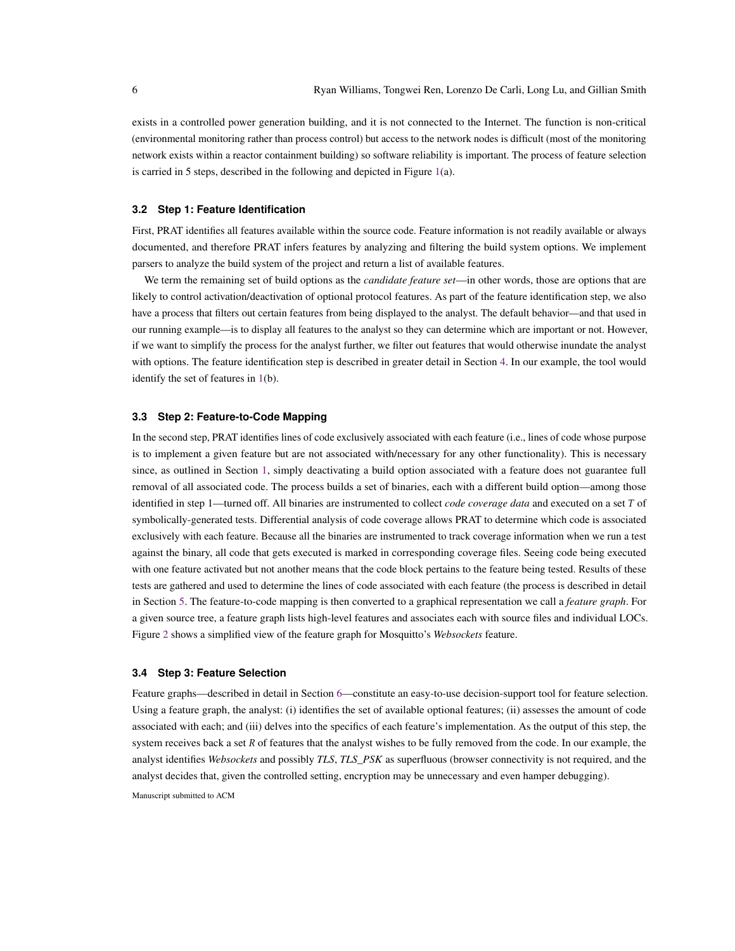exists in a controlled power generation building, and it is not connected to the Internet. The function is non-critical (environmental monitoring rather than process control) but access to the network nodes is difficult (most of the monitoring network exists within a reactor containment building) so software reliability is important. The process of feature selection is carried in 5 steps, described in the following and depicted in Figure [1\(](#page-4-0)a).

# **3.2 Step 1: Feature Identification**

First, PRAT identifies all features available within the source code. Feature information is not readily available or always documented, and therefore PRAT infers features by analyzing and filtering the build system options. We implement parsers to analyze the build system of the project and return a list of available features.

We term the remaining set of build options as the *candidate feature set*—in other words, those are options that are likely to control activation/deactivation of optional protocol features. As part of the feature identification step, we also have a process that filters out certain features from being displayed to the analyst. The default behavior—and that used in our running example—is to display all features to the analyst so they can determine which are important or not. However, if we want to simplify the process for the analyst further, we filter out features that would otherwise inundate the analyst with options. The feature identification step is described in greater detail in Section [4.](#page-6-0) In our example, the tool would identify the set of features in [1\(](#page-4-0)b).

# **3.3 Step 2: Feature-to-Code Mapping**

In the second step, PRAT identifies lines of code exclusively associated with each feature (i.e., lines of code whose purpose is to implement a given feature but are not associated with/necessary for any other functionality). This is necessary since, as outlined in Section [1,](#page-0-0) simply deactivating a build option associated with a feature does not guarantee full removal of all associated code. The process builds a set of binaries, each with a different build option—among those identified in step 1—turned off. All binaries are instrumented to collect *code coverage data* and executed on a set T of symbolically-generated tests. Differential analysis of code coverage allows PRAT to determine which code is associated exclusively with each feature. Because all the binaries are instrumented to track coverage information when we run a test against the binary, all code that gets executed is marked in corresponding coverage files. Seeing code being executed with one feature activated but not another means that the code block pertains to the feature being tested. Results of these tests are gathered and used to determine the lines of code associated with each feature (the process is described in detail in Section [5.](#page-7-0) The feature-to-code mapping is then converted to a graphical representation we call a *feature graph*. For a given source tree, a feature graph lists high-level features and associates each with source files and individual LOCs. Figure [2](#page-8-0) shows a simplified view of the feature graph for Mosquitto's *Websockets* feature.

# **3.4 Step 3: Feature Selection**

Feature graphs—described in detail in Section [6—](#page-10-0)constitute an easy-to-use decision-support tool for feature selection. Using a feature graph, the analyst: (i) identifies the set of available optional features; (ii) assesses the amount of code associated with each; and (iii) delves into the specifics of each feature's implementation. As the output of this step, the system receives back a set  $R$  of features that the analyst wishes to be fully removed from the code. In our example, the analyst identifies *Websockets* and possibly *TLS*, *TLS\_PSK* as superfluous (browser connectivity is not required, and the analyst decides that, given the controlled setting, encryption may be unnecessary and even hamper debugging).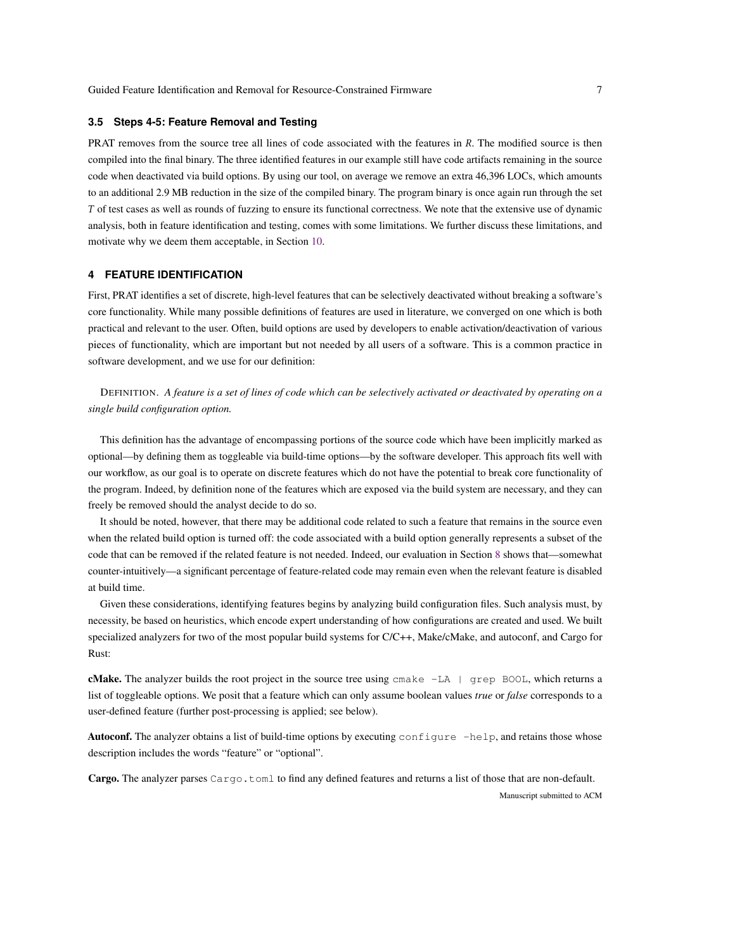#### **3.5 Steps 4-5: Feature Removal and Testing**

PRAT removes from the source tree all lines of code associated with the features in R. The modified source is then compiled into the final binary. The three identified features in our example still have code artifacts remaining in the source code when deactivated via build options. By using our tool, on average we remove an extra 46,396 LOCs, which amounts to an additional 2.9 MB reduction in the size of the compiled binary. The program binary is once again run through the set of test cases as well as rounds of fuzzing to ensure its functional correctness. We note that the extensive use of dynamic analysis, both in feature identification and testing, comes with some limitations. We further discuss these limitations, and motivate why we deem them acceptable, in Section [10.](#page-19-0)

# <span id="page-6-0"></span>**4 FEATURE IDENTIFICATION**

First, PRAT identifies a set of discrete, high-level features that can be selectively deactivated without breaking a software's core functionality. While many possible definitions of features are used in literature, we converged on one which is both practical and relevant to the user. Often, build options are used by developers to enable activation/deactivation of various pieces of functionality, which are important but not needed by all users of a software. This is a common practice in software development, and we use for our definition:

DEFINITION. *A feature is a set of lines of code which can be selectively activated or deactivated by operating on a single build configuration option.*

This definition has the advantage of encompassing portions of the source code which have been implicitly marked as optional—by defining them as toggleable via build-time options—by the software developer. This approach fits well with our workflow, as our goal is to operate on discrete features which do not have the potential to break core functionality of the program. Indeed, by definition none of the features which are exposed via the build system are necessary, and they can freely be removed should the analyst decide to do so.

It should be noted, however, that there may be additional code related to such a feature that remains in the source even when the related build option is turned off: the code associated with a build option generally represents a subset of the code that can be removed if the related feature is not needed. Indeed, our evaluation in Section [8](#page-11-0) shows that—somewhat counter-intuitively—a significant percentage of feature-related code may remain even when the relevant feature is disabled at build time.

Given these considerations, identifying features begins by analyzing build configuration files. Such analysis must, by necessity, be based on heuristics, which encode expert understanding of how configurations are created and used. We built specialized analyzers for two of the most popular build systems for C/C++, Make/cMake, and autoconf, and Cargo for Rust:

**cMake.** The analyzer builds the root project in the source tree using  $\text{cmake}$  -LA  $\mid$  grep BOOL, which returns a list of toggleable options. We posit that a feature which can only assume boolean values *true* or *false* corresponds to a user-defined feature (further post-processing is applied; see below).

Autoconf. The analyzer obtains a list of build-time options by executing configure -help, and retains those whose description includes the words "feature" or "optional".

Cargo. The analyzer parses Cargo.toml to find any defined features and returns a list of those that are non-default.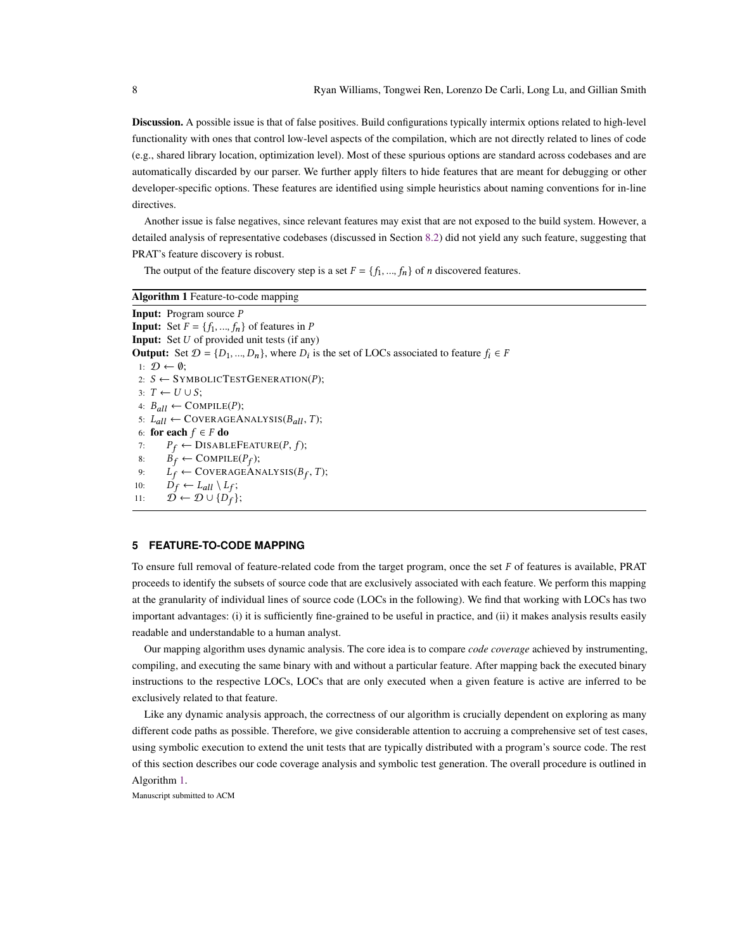Discussion. A possible issue is that of false positives. Build configurations typically intermix options related to high-level functionality with ones that control low-level aspects of the compilation, which are not directly related to lines of code (e.g., shared library location, optimization level). Most of these spurious options are standard across codebases and are automatically discarded by our parser. We further apply filters to hide features that are meant for debugging or other developer-specific options. These features are identified using simple heuristics about naming conventions for in-line directives.

Another issue is false negatives, since relevant features may exist that are not exposed to the build system. However, a detailed analysis of representative codebases (discussed in Section [8.2\)](#page-12-0) did not yield any such feature, suggesting that PRAT's feature discovery is robust.

The output of the feature discovery step is a set  $F = \{f_1, ..., f_n\}$  of *n* discovered features.

<span id="page-7-1"></span>

| <b>Algorithm 1</b> Feature-to-code mapping                                                                           |
|----------------------------------------------------------------------------------------------------------------------|
| <b>Input:</b> Program source P                                                                                       |
| <b>Input:</b> Set $F = \{f_1, , f_n\}$ of features in P                                                              |
| <b>Input:</b> Set $U$ of provided unit tests (if any)                                                                |
| <b>Output:</b> Set $\mathcal{D} = \{D_1, , D_n\}$ , where $D_i$ is the set of LOCs associated to feature $f_i \in F$ |
| 1: $\mathcal{D} \leftarrow \emptyset$ :                                                                              |
| 2: $S \leftarrow$ SYMBOLICTESTGENERATION(P);                                                                         |
| $3: T \leftarrow U \cup S$                                                                                           |
| 4: $B_{all} \leftarrow \text{COMPILE}(P)$ ;                                                                          |
| 5: $L_{all} \leftarrow \text{CoverAGEANALYSIS}(B_{all}, T);$                                                         |
| 6: for each $f \in F$ do                                                                                             |
| $P_f \leftarrow \text{DISABLEFEATURE}(P, f);$<br>7:                                                                  |
| $B_f \leftarrow \text{COMPILE}(P_f);$<br>8:                                                                          |
| $L_f \leftarrow \text{CoverAGEANALYSIS}(B_f, T);$<br>9:                                                              |
| $D_f \leftarrow L_{all} \setminus L_f;$<br>10:                                                                       |
| $\mathcal{D} \leftarrow \mathcal{D} \cup \{D_f\};$<br>11:                                                            |
|                                                                                                                      |

# <span id="page-7-0"></span>**5 FEATURE-TO-CODE MAPPING**

To ensure full removal of feature-related code from the target program, once the set  $F$  of features is available, PRAT proceeds to identify the subsets of source code that are exclusively associated with each feature. We perform this mapping at the granularity of individual lines of source code (LOCs in the following). We find that working with LOCs has two important advantages: (i) it is sufficiently fine-grained to be useful in practice, and (ii) it makes analysis results easily readable and understandable to a human analyst.

Our mapping algorithm uses dynamic analysis. The core idea is to compare *code coverage* achieved by instrumenting, compiling, and executing the same binary with and without a particular feature. After mapping back the executed binary instructions to the respective LOCs, LOCs that are only executed when a given feature is active are inferred to be exclusively related to that feature.

Like any dynamic analysis approach, the correctness of our algorithm is crucially dependent on exploring as many different code paths as possible. Therefore, we give considerable attention to accruing a comprehensive set of test cases, using symbolic execution to extend the unit tests that are typically distributed with a program's source code. The rest of this section describes our code coverage analysis and symbolic test generation. The overall procedure is outlined in Algorithm [1.](#page-7-1)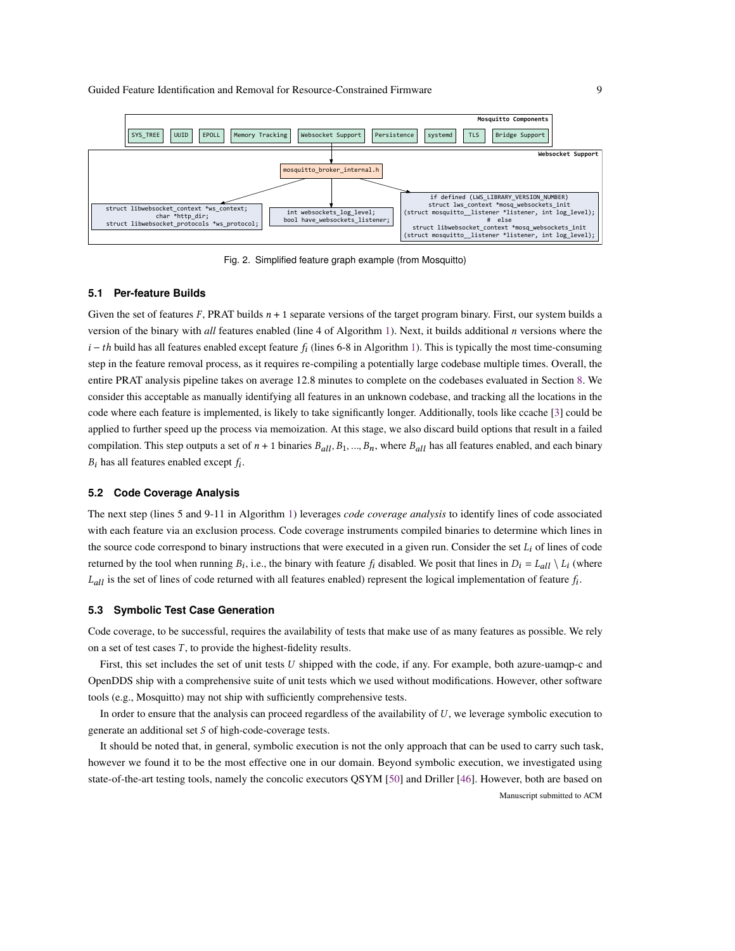<span id="page-8-0"></span>

Fig. 2. Simplified feature graph example (from Mosquitto)

#### **5.1 Per-feature Builds**

Given the set of features  $F$ , PRAT builds  $n + 1$  separate versions of the target program binary. First, our system builds a version of the binary with *all* features enabled (line 4 of Algorithm [1\)](#page-7-1). Next, it builds additional *n* versions where the  $i-th$  build has all features enabled except feature  $f_i$  (lines 6-8 in Algorithm [1\)](#page-7-1). This is typically the most time-consuming step in the feature removal process, as it requires re-compiling a potentially large codebase multiple times. Overall, the entire PRAT analysis pipeline takes on average 12.8 minutes to complete on the codebases evaluated in Section [8.](#page-11-0) We consider this acceptable as manually identifying all features in an unknown codebase, and tracking all the locations in the code where each feature is implemented, is likely to take significantly longer. Additionally, tools like ccache [\[3\]](#page-22-16) could be applied to further speed up the process via memoization. At this stage, we also discard build options that result in a failed compilation. This step outputs a set of  $n + 1$  binaries  $B_{all}$ ,  $B_1$ , ...,  $B_n$ , where  $B_{all}$  has all features enabled, and each binary  $B_i$  has all features enabled except  $f_i$ .

# **5.2 Code Coverage Analysis**

The next step (lines 5 and 9-11 in Algorithm [1\)](#page-7-1) leverages *code coverage analysis* to identify lines of code associated with each feature via an exclusion process. Code coverage instruments compiled binaries to determine which lines in the source code correspond to binary instructions that were executed in a given run. Consider the set  $L_i$  of lines of code returned by the tool when running  $B_i$ , i.e., the binary with feature  $f_i$  disabled. We posit that lines in  $D_i = L_{all} \setminus L_i$  (where  $L_{all}$  is the set of lines of code returned with all features enabled) represent the logical implementation of feature  $f_i$ .

#### <span id="page-8-1"></span>**5.3 Symbolic Test Case Generation**

Code coverage, to be successful, requires the availability of tests that make use of as many features as possible. We rely on a set of test cases  $T$ , to provide the highest-fidelity results.

First, this set includes the set of unit tests  $U$  shipped with the code, if any. For example, both azure-uamqp-c and OpenDDS ship with a comprehensive suite of unit tests which we used without modifications. However, other software tools (e.g., Mosquitto) may not ship with sufficiently comprehensive tests.

In order to ensure that the analysis can proceed regardless of the availability of  $U$ , we leverage symbolic execution to generate an additional set  $S$  of high-code-coverage tests.

It should be noted that, in general, symbolic execution is not the only approach that can be used to carry such task, however we found it to be the most effective one in our domain. Beyond symbolic execution, we investigated using state-of-the-art testing tools, namely the concolic executors QSYM [\[50\]](#page-23-16) and Driller [\[46\]](#page-23-17). However, both are based on Manuscript submitted to ACM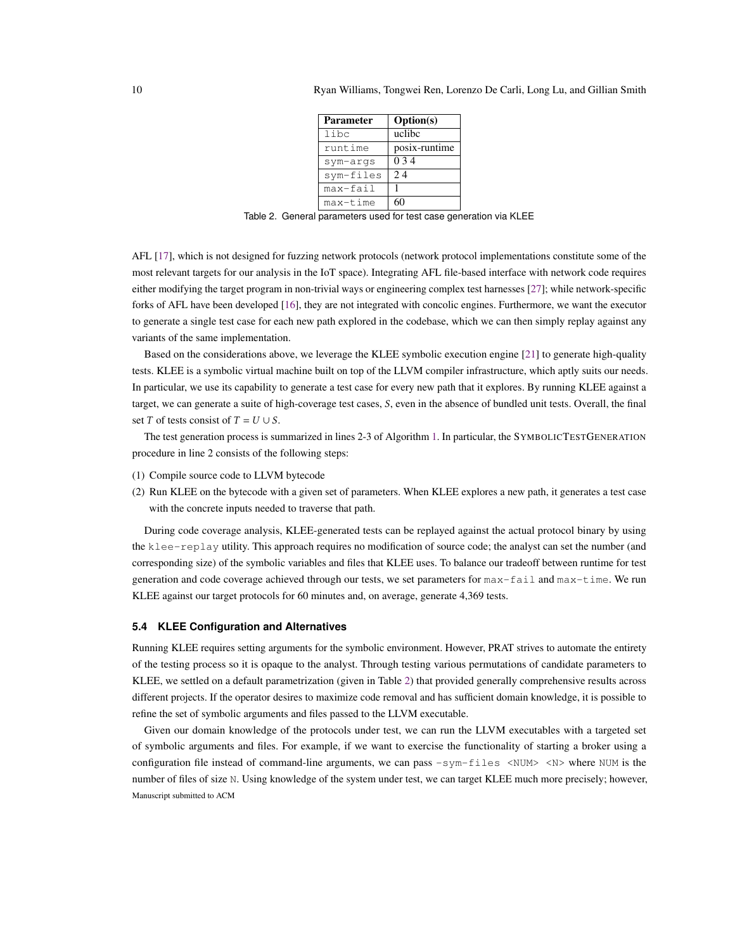| <b>Parameter</b> | <b>Option(s)</b> |
|------------------|------------------|
| libc             | uclibc           |
| runtime          | posix-runtime    |
| sym-args         | 0 3 4            |
| sym-files        | 2.4              |
| max-fail         |                  |
| max-time         |                  |

Table 2. General parameters used for test case generation via KLEE

<span id="page-9-0"></span>AFL [\[17\]](#page-22-17), which is not designed for fuzzing network protocols (network protocol implementations constitute some of the most relevant targets for our analysis in the IoT space). Integrating AFL file-based interface with network code requires either modifying the target program in non-trivial ways or engineering complex test harnesses [\[27\]](#page-23-18); while network-specific forks of AFL have been developed [\[16\]](#page-22-18), they are not integrated with concolic engines. Furthermore, we want the executor to generate a single test case for each new path explored in the codebase, which we can then simply replay against any variants of the same implementation.

Based on the considerations above, we leverage the KLEE symbolic execution engine [\[21\]](#page-22-19) to generate high-quality tests. KLEE is a symbolic virtual machine built on top of the LLVM compiler infrastructure, which aptly suits our needs. In particular, we use its capability to generate a test case for every new path that it explores. By running KLEE against a target, we can generate a suite of high-coverage test cases,  $S$ , even in the absence of bundled unit tests. Overall, the final set T of tests consist of  $T = U \cup S$ .

The test generation process is summarized in lines 2-3 of Algorithm [1.](#page-7-1) In particular, the SYMBOLICTESTGENERATION procedure in line 2 consists of the following steps:

- (1) Compile source code to LLVM bytecode
- (2) Run KLEE on the bytecode with a given set of parameters. When KLEE explores a new path, it generates a test case with the concrete inputs needed to traverse that path.

During code coverage analysis, KLEE-generated tests can be replayed against the actual protocol binary by using the klee-replay utility. This approach requires no modification of source code; the analyst can set the number (and corresponding size) of the symbolic variables and files that KLEE uses. To balance our tradeoff between runtime for test generation and code coverage achieved through our tests, we set parameters for max-fail and max-time. We run KLEE against our target protocols for 60 minutes and, on average, generate 4,369 tests.

# **5.4 KLEE Configuration and Alternatives**

Running KLEE requires setting arguments for the symbolic environment. However, PRAT strives to automate the entirety of the testing process so it is opaque to the analyst. Through testing various permutations of candidate parameters to KLEE, we settled on a default parametrization (given in Table [2\)](#page-9-0) that provided generally comprehensive results across different projects. If the operator desires to maximize code removal and has sufficient domain knowledge, it is possible to refine the set of symbolic arguments and files passed to the LLVM executable.

Given our domain knowledge of the protocols under test, we can run the LLVM executables with a targeted set of symbolic arguments and files. For example, if we want to exercise the functionality of starting a broker using a configuration file instead of command-line arguments, we can pass  $-sym-files \leq NUM>$   $\leq N>$  where NUM is the number of files of size N. Using knowledge of the system under test, we can target KLEE much more precisely; however, Manuscript submitted to ACM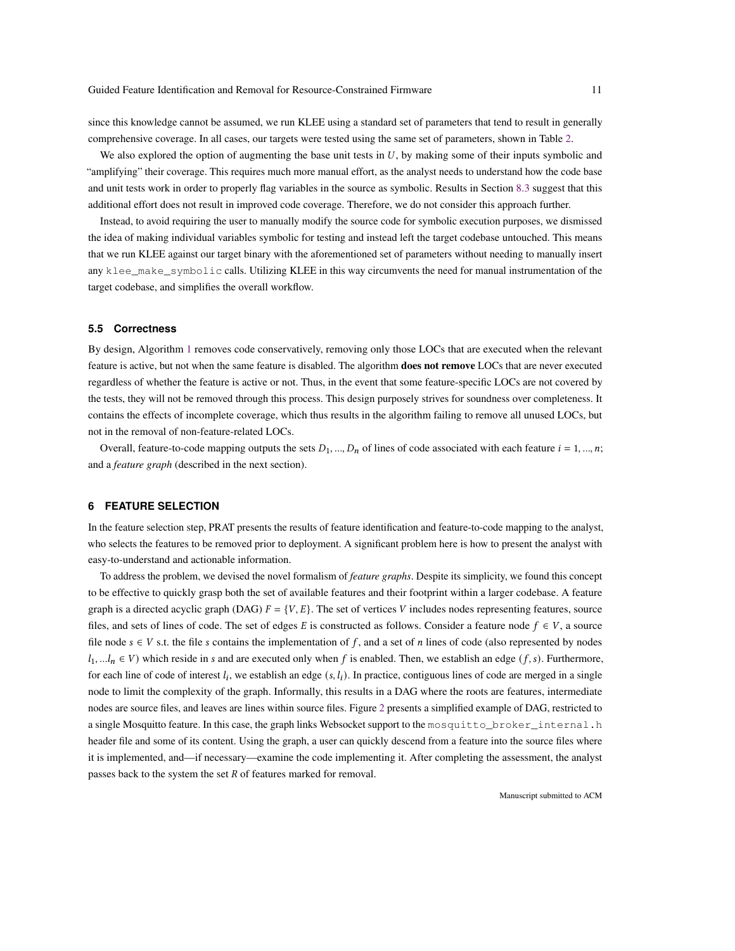since this knowledge cannot be assumed, we run KLEE using a standard set of parameters that tend to result in generally comprehensive coverage. In all cases, our targets were tested using the same set of parameters, shown in Table [2.](#page-9-0)

We also explored the option of augmenting the base unit tests in  $U$ , by making some of their inputs symbolic and "amplifying" their coverage. This requires much more manual effort, as the analyst needs to understand how the code base and unit tests work in order to properly flag variables in the source as symbolic. Results in Section [8.3](#page-13-0) suggest that this additional effort does not result in improved code coverage. Therefore, we do not consider this approach further.

Instead, to avoid requiring the user to manually modify the source code for symbolic execution purposes, we dismissed the idea of making individual variables symbolic for testing and instead left the target codebase untouched. This means that we run KLEE against our target binary with the aforementioned set of parameters without needing to manually insert any klee\_make\_symbolic calls. Utilizing KLEE in this way circumvents the need for manual instrumentation of the target codebase, and simplifies the overall workflow.

# **5.5 Correctness**

By design, Algorithm [1](#page-7-1) removes code conservatively, removing only those LOCs that are executed when the relevant feature is active, but not when the same feature is disabled. The algorithm **does not remove** LOCs that are never executed regardless of whether the feature is active or not. Thus, in the event that some feature-specific LOCs are not covered by the tests, they will not be removed through this process. This design purposely strives for soundness over completeness. It contains the effects of incomplete coverage, which thus results in the algorithm failing to remove all unused LOCs, but not in the removal of non-feature-related LOCs.

Overall, feature-to-code mapping outputs the sets  $D_1, ..., D_n$  of lines of code associated with each feature  $i = 1, ..., n$ ; and a *feature graph* (described in the next section).

# <span id="page-10-0"></span>**6 FEATURE SELECTION**

In the feature selection step, PRAT presents the results of feature identification and feature-to-code mapping to the analyst, who selects the features to be removed prior to deployment. A significant problem here is how to present the analyst with easy-to-understand and actionable information.

To address the problem, we devised the novel formalism of *feature graphs*. Despite its simplicity, we found this concept to be effective to quickly grasp both the set of available features and their footprint within a larger codebase. A feature graph is a directed acyclic graph (DAG)  $F = \{V, E\}$ . The set of vertices V includes nodes representing features, source files, and sets of lines of code. The set of edges E is constructed as follows. Consider a feature node  $f \in V$ , a source file node  $s \in V$  s.t. the file s contains the implementation of f, and a set of *n* lines of code (also represented by nodes  $l_1, \ldots, l_n \in V$ ) which reside in s and are executed only when f is enabled. Then, we establish an edge  $(f, s)$ . Furthermore, for each line of code of interest  $l_i$ , we establish an edge  $(s, l_i)$ . In practice, contiguous lines of code are merged in a single node to limit the complexity of the graph. Informally, this results in a DAG where the roots are features, intermediate nodes are source files, and leaves are lines within source files. Figure [2](#page-8-0) presents a simplified example of DAG, restricted to a single Mosquitto feature. In this case, the graph links Websocket support to the mosquitto\_broker\_internal.h header file and some of its content. Using the graph, a user can quickly descend from a feature into the source files where it is implemented, and—if necessary—examine the code implementing it. After completing the assessment, the analyst passes back to the system the set  $R$  of features marked for removal.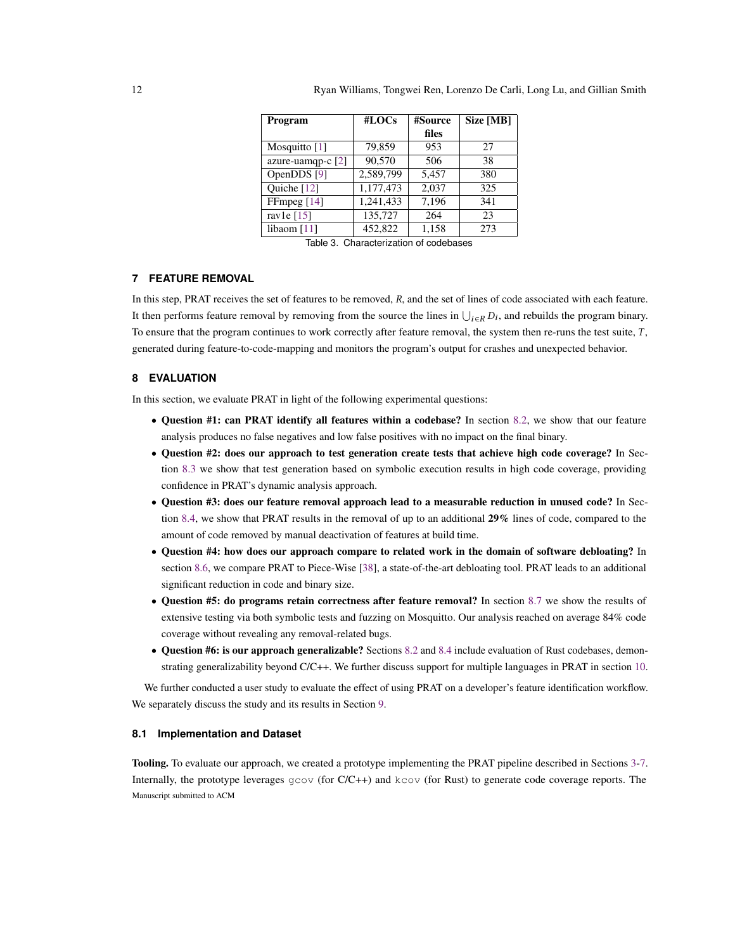<span id="page-11-2"></span>

| Program             | #LOCs     | #Source | Size [MB] |
|---------------------|-----------|---------|-----------|
|                     |           | files   |           |
| Mosquitto $[1]$     | 79,859    | 953     | 27        |
| azure-uamqp-c $[2]$ | 90,570    | 506     | 38        |
| OpenDDS [9]         | 2,589,799 | 5,457   | 380       |
| Quiche $[12]$       | 1,177,473 | 2,037   | 325       |
| FFmpeg $[14]$       | 1,241,433 | 7,196   | 341       |
| ravle $[15]$        | 135,727   | 264     | 23        |
| libaom $[11]$       | 452,822   | 1,158   | 273       |

Table 3. Characterization of codebases

# <span id="page-11-1"></span>**7 FEATURE REMOVAL**

In this step, PRAT receives the set of features to be removed,  $R$ , and the set of lines of code associated with each feature. It then performs feature removal by removing from the source the lines in  $\bigcup_{i\in R} D_i$ , and rebuilds the program binary. To ensure that the program continues to work correctly after feature removal, the system then re-runs the test suite,  $T$ , generated during feature-to-code-mapping and monitors the program's output for crashes and unexpected behavior.

# <span id="page-11-0"></span>**8 EVALUATION**

In this section, we evaluate PRAT in light of the following experimental questions:

- Question #1: can PRAT identify all features within a codebase? In section [8.2,](#page-12-0) we show that our feature analysis produces no false negatives and low false positives with no impact on the final binary.
- Question #2: does our approach to test generation create tests that achieve high code coverage? In Section [8.3](#page-13-0) we show that test generation based on symbolic execution results in high code coverage, providing confidence in PRAT's dynamic analysis approach.
- Question #3: does our feature removal approach lead to a measurable reduction in unused code? In Section [8.4,](#page-13-1) we show that PRAT results in the removal of up to an additional 29% lines of code, compared to the amount of code removed by manual deactivation of features at build time.
- Question #4: how does our approach compare to related work in the domain of software debloating? In section [8.6,](#page-14-0) we compare PRAT to Piece-Wise [\[38\]](#page-23-12), a state-of-the-art debloating tool. PRAT leads to an additional significant reduction in code and binary size.
- Question #5: do programs retain correctness after feature removal? In section [8.7](#page-15-0) we show the results of extensive testing via both symbolic tests and fuzzing on Mosquitto. Our analysis reached on average 84% code coverage without revealing any removal-related bugs.
- Question #6: is our approach generalizable? Sections [8.2](#page-12-0) and [8.4](#page-13-1) include evaluation of Rust codebases, demonstrating generalizability beyond C/C++. We further discuss support for multiple languages in PRAT in section [10.](#page-19-0)

We further conducted a user study to evaluate the effect of using PRAT on a developer's feature identification workflow. We separately discuss the study and its results in Section [9.](#page-16-0)

# **8.1 Implementation and Dataset**

Tooling. To evaluate our approach, we created a prototype implementing the PRAT pipeline described in Sections [3](#page-4-1)[-7.](#page-11-1) Internally, the prototype leverages  $g\text{cov}$  (for C/C++) and  $k\text{cov}$  (for Rust) to generate code coverage reports. The Manuscript submitted to ACM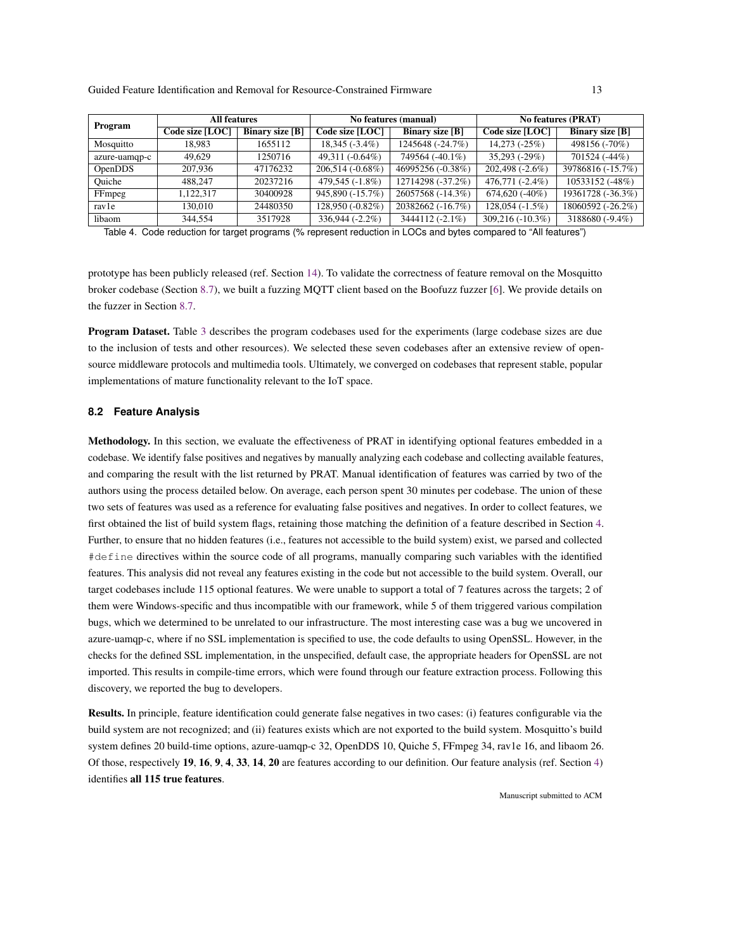<span id="page-12-1"></span>

| Program        | <b>All features</b> |                        |                   | No features (manual)   | <b>No features (PRAT)</b> |                        |
|----------------|---------------------|------------------------|-------------------|------------------------|---------------------------|------------------------|
|                | Code size [LOC]     | <b>Binary size</b> [B] | Code size [LOC]   | <b>Binary size</b> [B] | Code size [LOC]           | <b>Binary size</b> [B] |
| Mosquitto      | 18.983              | 1655112                | $18,345(-3.4\%)$  | 1245648 (-24.7%)       | $14,273$ ( $-25\%$ )      | 498156 (-70%)          |
| azure-uamqp-c  | 49.629              | 1250716                | 49,311 (-0.64%)   | 749564 (-40.1%)        | $35,293(-29%)$            | 701524 (-44%)          |
| <b>OpenDDS</b> | 207,936             | 47176232               | 206,514 (-0.68%)  | 46995256 (-0.38%)      | 202,498 (-2.6%)           | 39786816 (-15.7%)      |
| Ouiche         | 488,247             | 20237216               | 479,545 (-1.8%)   | 12714298 (-37.2%)      | 476,771 (-2.4%)           | 10533152 (-48%)        |
| FFmpeg         | 1.122.317           | 30400928               | 945,890 (-15.7%)  | 26057568 (-14.3%)      | $674,620$ (-40%)          | 19361728 (-36.3%)      |
| ravle          | 130,010             | 24480350               | 128,950 (-0.82%)  | 20382662 (-16.7%)      | $128,054(-1.5%)$          | 18060592 (-26.2%)      |
| libaom         | 344,554             | 3517928                | $336,944(-2.2\%)$ | 3444112 (-2.1%)        | $309,216(-10.3\%)$        | 3188680 (-9.4%)        |

Table 4. Code reduction for target programs (% represent reduction in LOCs and bytes compared to "All features")

prototype has been publicly released (ref. Section [14\)](#page-22-3). To validate the correctness of feature removal on the Mosquitto broker codebase (Section [8.7\)](#page-15-0), we built a fuzzing MQTT client based on the Boofuzz fuzzer [\[6\]](#page-22-20). We provide details on the fuzzer in Section [8.7.](#page-15-0)

Program Dataset. Table [3](#page-11-2) describes the program codebases used for the experiments (large codebase sizes are due to the inclusion of tests and other resources). We selected these seven codebases after an extensive review of opensource middleware protocols and multimedia tools. Ultimately, we converged on codebases that represent stable, popular implementations of mature functionality relevant to the IoT space.

#### <span id="page-12-0"></span>**8.2 Feature Analysis**

Methodology. In this section, we evaluate the effectiveness of PRAT in identifying optional features embedded in a codebase. We identify false positives and negatives by manually analyzing each codebase and collecting available features, and comparing the result with the list returned by PRAT. Manual identification of features was carried by two of the authors using the process detailed below. On average, each person spent 30 minutes per codebase. The union of these two sets of features was used as a reference for evaluating false positives and negatives. In order to collect features, we first obtained the list of build system flags, retaining those matching the definition of a feature described in Section [4.](#page-6-0) Further, to ensure that no hidden features (i.e., features not accessible to the build system) exist, we parsed and collected #define directives within the source code of all programs, manually comparing such variables with the identified features. This analysis did not reveal any features existing in the code but not accessible to the build system. Overall, our target codebases include 115 optional features. We were unable to support a total of 7 features across the targets; 2 of them were Windows-specific and thus incompatible with our framework, while 5 of them triggered various compilation bugs, which we determined to be unrelated to our infrastructure. The most interesting case was a bug we uncovered in azure-uamqp-c, where if no SSL implementation is specified to use, the code defaults to using OpenSSL. However, in the checks for the defined SSL implementation, in the unspecified, default case, the appropriate headers for OpenSSL are not imported. This results in compile-time errors, which were found through our feature extraction process. Following this discovery, we reported the bug to developers.

Results. In principle, feature identification could generate false negatives in two cases: (i) features configurable via the build system are not recognized; and (ii) features exists which are not exported to the build system. Mosquitto's build system defines 20 build-time options, azure-uamqp-c 32, OpenDDS 10, Quiche 5, FFmpeg 34, rav1e 16, and libaom 26. Of those, respectively 19, 16, 9, 4, 33, 14, 20 are features according to our definition. Our feature analysis (ref. Section [4\)](#page-6-0) identifies all 115 true features.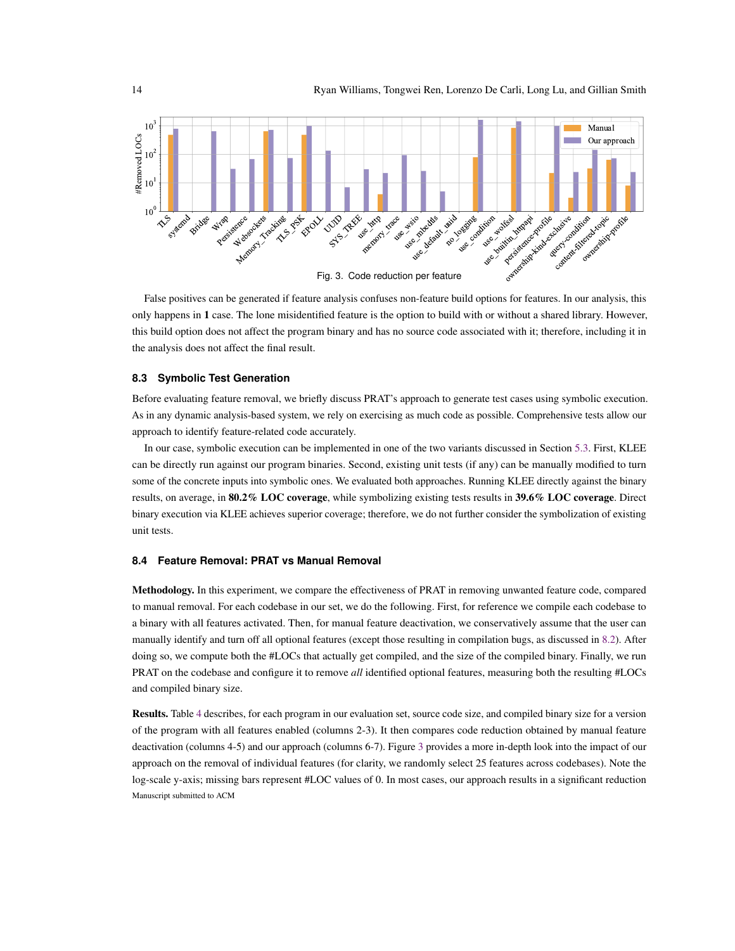<span id="page-13-2"></span>

False positives can be generated if feature analysis confuses non-feature build options for features. In our analysis, this only happens in 1 case. The lone misidentified feature is the option to build with or without a shared library. However, this build option does not affect the program binary and has no source code associated with it; therefore, including it in the analysis does not affect the final result.

# <span id="page-13-0"></span>**8.3 Symbolic Test Generation**

Before evaluating feature removal, we briefly discuss PRAT's approach to generate test cases using symbolic execution. As in any dynamic analysis-based system, we rely on exercising as much code as possible. Comprehensive tests allow our approach to identify feature-related code accurately.

In our case, symbolic execution can be implemented in one of the two variants discussed in Section [5.3.](#page-8-1) First, KLEE can be directly run against our program binaries. Second, existing unit tests (if any) can be manually modified to turn some of the concrete inputs into symbolic ones. We evaluated both approaches. Running KLEE directly against the binary results, on average, in 80.2% LOC coverage, while symbolizing existing tests results in 39.6% LOC coverage. Direct binary execution via KLEE achieves superior coverage; therefore, we do not further consider the symbolization of existing unit tests.

# <span id="page-13-1"></span>**8.4 Feature Removal: PRAT vs Manual Removal**

Methodology. In this experiment, we compare the effectiveness of PRAT in removing unwanted feature code, compared to manual removal. For each codebase in our set, we do the following. First, for reference we compile each codebase to a binary with all features activated. Then, for manual feature deactivation, we conservatively assume that the user can manually identify and turn off all optional features (except those resulting in compilation bugs, as discussed in [8.2\)](#page-12-0). After doing so, we compute both the #LOCs that actually get compiled, and the size of the compiled binary. Finally, we run PRAT on the codebase and configure it to remove *all* identified optional features, measuring both the resulting #LOCs and compiled binary size.

Results. Table [4](#page-12-1) describes, for each program in our evaluation set, source code size, and compiled binary size for a version of the program with all features enabled (columns 2-3). It then compares code reduction obtained by manual feature deactivation (columns 4-5) and our approach (columns 6-7). Figure [3](#page-13-2) provides a more in-depth look into the impact of our approach on the removal of individual features (for clarity, we randomly select 25 features across codebases). Note the log-scale y-axis; missing bars represent #LOC values of 0. In most cases, our approach results in a significant reduction Manuscript submitted to ACM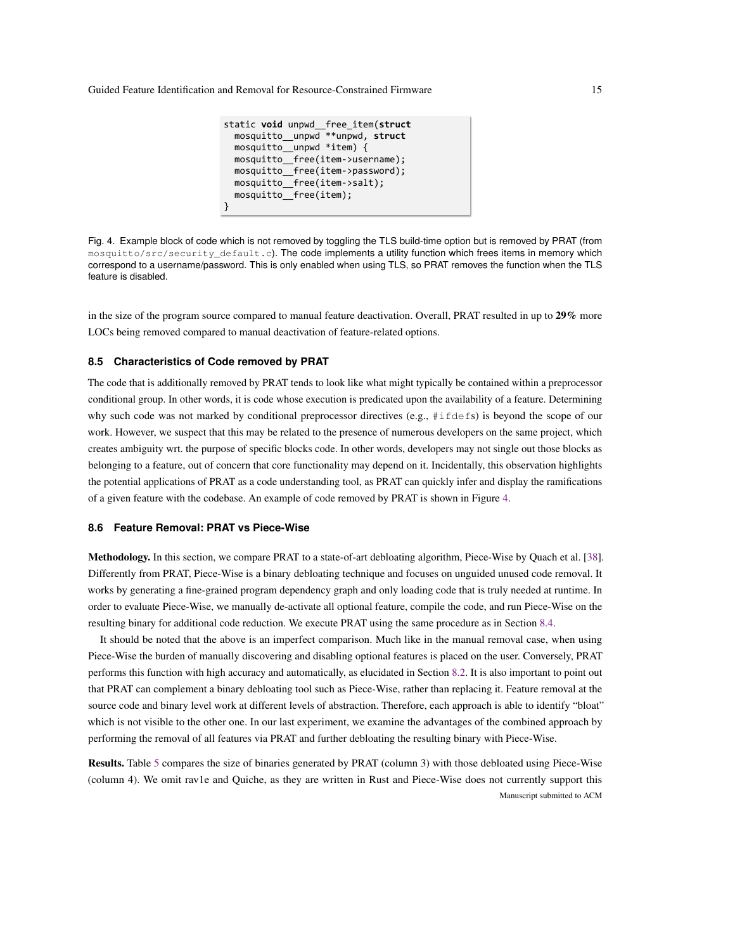```
static void unpwd__free_item(struct
  mosquitto__unpwd **unpwd, struct
  mosquitto__unpwd *item) {
  mosquitto__free(item->username);
  mosquitto__free(item->password);
  mosquitto__free(item->salt);
  mosquitto__free(item);
}
```
<span id="page-14-1"></span>Fig. 4. Example block of code which is not removed by toggling the TLS build-time option but is removed by PRAT (from mosquitto/src/security\_default.c). The code implements a utility function which frees items in memory which correspond to a username/password. This is only enabled when using TLS, so PRAT removes the function when the TLS feature is disabled.

in the size of the program source compared to manual feature deactivation. Overall, PRAT resulted in up to 29% more LOCs being removed compared to manual deactivation of feature-related options.

# **8.5 Characteristics of Code removed by PRAT**

The code that is additionally removed by PRAT tends to look like what might typically be contained within a preprocessor conditional group. In other words, it is code whose execution is predicated upon the availability of a feature. Determining why such code was not marked by conditional preprocessor directives (e.g., #ifdefs) is beyond the scope of our work. However, we suspect that this may be related to the presence of numerous developers on the same project, which creates ambiguity wrt. the purpose of specific blocks code. In other words, developers may not single out those blocks as belonging to a feature, out of concern that core functionality may depend on it. Incidentally, this observation highlights the potential applications of PRAT as a code understanding tool, as PRAT can quickly infer and display the ramifications of a given feature with the codebase. An example of code removed by PRAT is shown in Figure [4.](#page-14-1)

# <span id="page-14-0"></span>**8.6 Feature Removal: PRAT vs Piece-Wise**

Methodology. In this section, we compare PRAT to a state-of-art debloating algorithm, Piece-Wise by Quach et al. [\[38\]](#page-23-12). Differently from PRAT, Piece-Wise is a binary debloating technique and focuses on unguided unused code removal. It works by generating a fine-grained program dependency graph and only loading code that is truly needed at runtime. In order to evaluate Piece-Wise, we manually de-activate all optional feature, compile the code, and run Piece-Wise on the resulting binary for additional code reduction. We execute PRAT using the same procedure as in Section [8.4.](#page-13-1)

It should be noted that the above is an imperfect comparison. Much like in the manual removal case, when using Piece-Wise the burden of manually discovering and disabling optional features is placed on the user. Conversely, PRAT performs this function with high accuracy and automatically, as elucidated in Section [8.2.](#page-12-0) It is also important to point out that PRAT can complement a binary debloating tool such as Piece-Wise, rather than replacing it. Feature removal at the source code and binary level work at different levels of abstraction. Therefore, each approach is able to identify "bloat" which is not visible to the other one. In our last experiment, we examine the advantages of the combined approach by performing the removal of all features via PRAT and further debloating the resulting binary with Piece-Wise.

Results. Table [5](#page-15-1) compares the size of binaries generated by PRAT (column 3) with those debloated using Piece-Wise (column 4). We omit rav1e and Quiche, as they are written in Rust and Piece-Wise does not currently support this Manuscript submitted to ACM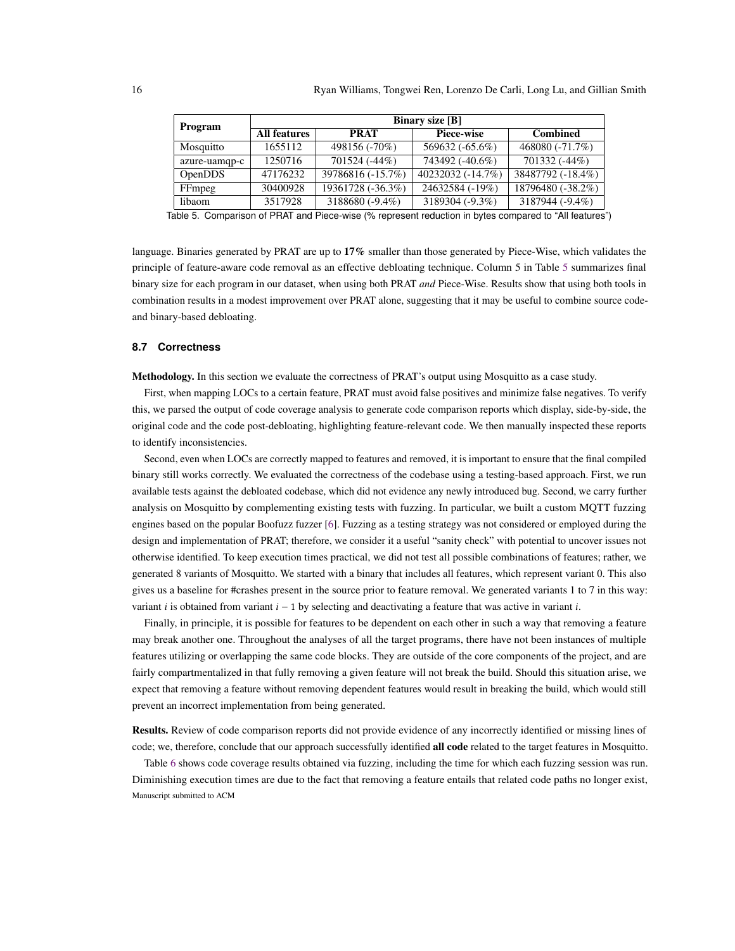<span id="page-15-1"></span>

| Program        | <b>Binary size</b> [B] |                           |                   |                   |  |  |  |
|----------------|------------------------|---------------------------|-------------------|-------------------|--|--|--|
|                | <b>All features</b>    | Piece-wise<br><b>PRAT</b> |                   | <b>Combined</b>   |  |  |  |
| Mosquitto      | 1655112                | 498156 (-70%)             | 569632 (-65.6%)   | 468080 (-71.7%)   |  |  |  |
| azure-uamqp-c  | 1250716                | 701524 (-44%)             | 743492 (-40.6%)   | 701332 (-44%)     |  |  |  |
| <b>OpenDDS</b> | 47176232               | 39786816 (-15.7%)         | 40232032 (-14.7%) | 38487792 (-18.4%) |  |  |  |
| FFmpeg         | 30400928               | 19361728 (-36.3%)         | 24632584 (-19%)   | 18796480 (-38.2%) |  |  |  |
| libaom         | 3517928                | 3188680 (-9.4%)           | 3189304 (-9.3%)   | 3187944 (-9.4%)   |  |  |  |

Table 5. Comparison of PRAT and Piece-wise (% represent reduction in bytes compared to "All features")

language. Binaries generated by PRAT are up to 17% smaller than those generated by Piece-Wise, which validates the principle of feature-aware code removal as an effective debloating technique. Column 5 in Table [5](#page-15-1) summarizes final binary size for each program in our dataset, when using both PRAT *and* Piece-Wise. Results show that using both tools in combination results in a modest improvement over PRAT alone, suggesting that it may be useful to combine source codeand binary-based debloating.

#### <span id="page-15-0"></span>**8.7 Correctness**

Methodology. In this section we evaluate the correctness of PRAT's output using Mosquitto as a case study.

First, when mapping LOCs to a certain feature, PRAT must avoid false positives and minimize false negatives. To verify this, we parsed the output of code coverage analysis to generate code comparison reports which display, side-by-side, the original code and the code post-debloating, highlighting feature-relevant code. We then manually inspected these reports to identify inconsistencies.

Second, even when LOCs are correctly mapped to features and removed, it is important to ensure that the final compiled binary still works correctly. We evaluated the correctness of the codebase using a testing-based approach. First, we run available tests against the debloated codebase, which did not evidence any newly introduced bug. Second, we carry further analysis on Mosquitto by complementing existing tests with fuzzing. In particular, we built a custom MQTT fuzzing engines based on the popular Boofuzz fuzzer [\[6\]](#page-22-20). Fuzzing as a testing strategy was not considered or employed during the design and implementation of PRAT; therefore, we consider it a useful "sanity check" with potential to uncover issues not otherwise identified. To keep execution times practical, we did not test all possible combinations of features; rather, we generated 8 variants of Mosquitto. We started with a binary that includes all features, which represent variant 0. This also gives us a baseline for #crashes present in the source prior to feature removal. We generated variants 1 to 7 in this way: variant *i* is obtained from variant  $i - 1$  by selecting and deactivating a feature that was active in variant *i*.

Finally, in principle, it is possible for features to be dependent on each other in such a way that removing a feature may break another one. Throughout the analyses of all the target programs, there have not been instances of multiple features utilizing or overlapping the same code blocks. They are outside of the core components of the project, and are fairly compartmentalized in that fully removing a given feature will not break the build. Should this situation arise, we expect that removing a feature without removing dependent features would result in breaking the build, which would still prevent an incorrect implementation from being generated.

Results. Review of code comparison reports did not provide evidence of any incorrectly identified or missing lines of code; we, therefore, conclude that our approach successfully identified all code related to the target features in Mosquitto.

Table [6](#page-16-1) shows code coverage results obtained via fuzzing, including the time for which each fuzzing session was run. Diminishing execution times are due to the fact that removing a feature entails that related code paths no longer exist, Manuscript submitted to ACM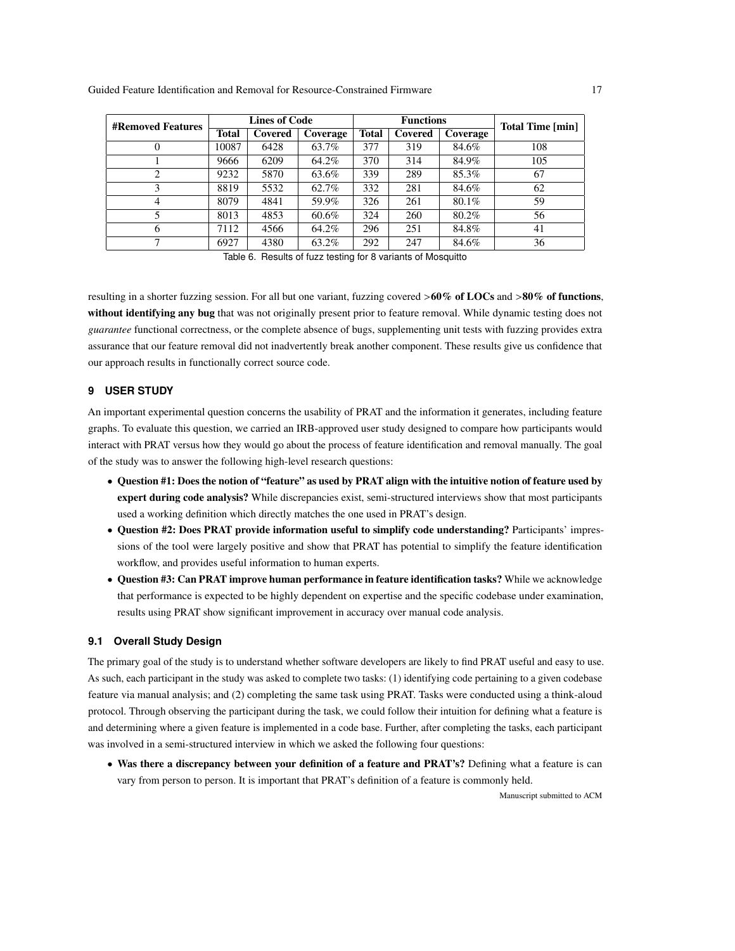<span id="page-16-1"></span>

| <b>#Removed Features</b> | <b>Lines of Code</b> |         | <b>Functions</b> |              |         | <b>Total Time [min]</b> |     |
|--------------------------|----------------------|---------|------------------|--------------|---------|-------------------------|-----|
|                          | <b>Total</b>         | Covered | Coverage         | <b>Total</b> | Covered | Coverage                |     |
| 0                        | 10087                | 6428    | 63.7%            | 377          | 319     | 84.6%                   | 108 |
|                          | 9666                 | 6209    | 64.2%            | 370          | 314     | 84.9%                   | 105 |
| 2                        | 9232                 | 5870    | 63.6%            | 339          | 289     | 85.3%                   | 67  |
| 3                        | 8819                 | 5532    | 62.7%            | 332          | 281     | 84.6%                   | 62  |
| 4                        | 8079                 | 4841    | 59.9%            | 326          | 261     | 80.1%                   | 59  |
|                          | 8013                 | 4853    | 60.6%            | 324          | 260     | 80.2%                   | 56  |
| 6                        | 7112                 | 4566    | 64.2%            | 296          | 251     | 84.8%                   | 41  |
| 7                        | 6927                 | 4380    | 63.2%            | 292          | 247     | 84.6%                   | 36  |

Table 6. Results of fuzz testing for 8 variants of Mosquitto

resulting in a shorter fuzzing session. For all but one variant, fuzzing covered  $>60\%$  of LOCs and  $>80\%$  of functions, without identifying any bug that was not originally present prior to feature removal. While dynamic testing does not *guarantee* functional correctness, or the complete absence of bugs, supplementing unit tests with fuzzing provides extra assurance that our feature removal did not inadvertently break another component. These results give us confidence that our approach results in functionally correct source code.

# <span id="page-16-0"></span>**9 USER STUDY**

An important experimental question concerns the usability of PRAT and the information it generates, including feature graphs. To evaluate this question, we carried an IRB-approved user study designed to compare how participants would interact with PRAT versus how they would go about the process of feature identification and removal manually. The goal of the study was to answer the following high-level research questions:

- Question #1: Does the notion of "feature" as used by PRAT align with the intuitive notion of feature used by expert during code analysis? While discrepancies exist, semi-structured interviews show that most participants used a working definition which directly matches the one used in PRAT's design.
- Question #2: Does PRAT provide information useful to simplify code understanding? Participants' impressions of the tool were largely positive and show that PRAT has potential to simplify the feature identification workflow, and provides useful information to human experts.
- Question #3: Can PRAT improve human performance in feature identification tasks? While we acknowledge that performance is expected to be highly dependent on expertise and the specific codebase under examination, results using PRAT show significant improvement in accuracy over manual code analysis.

# **9.1 Overall Study Design**

The primary goal of the study is to understand whether software developers are likely to find PRAT useful and easy to use. As such, each participant in the study was asked to complete two tasks: (1) identifying code pertaining to a given codebase feature via manual analysis; and (2) completing the same task using PRAT. Tasks were conducted using a think-aloud protocol. Through observing the participant during the task, we could follow their intuition for defining what a feature is and determining where a given feature is implemented in a code base. Further, after completing the tasks, each participant was involved in a semi-structured interview in which we asked the following four questions:

• Was there a discrepancy between your definition of a feature and PRAT's? Defining what a feature is can vary from person to person. It is important that PRAT's definition of a feature is commonly held.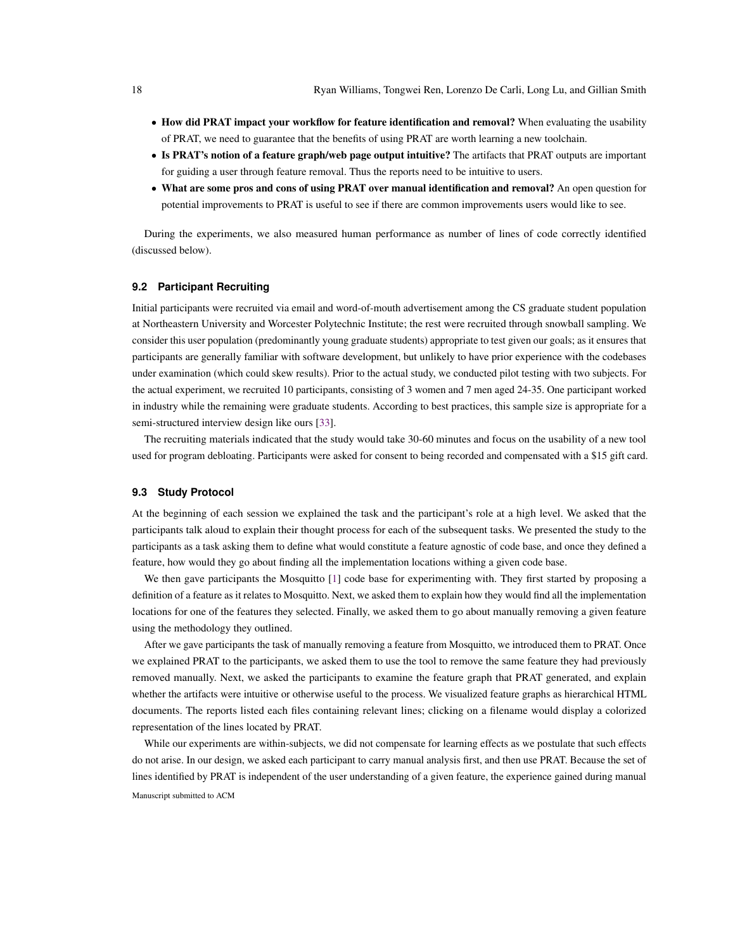- How did PRAT impact your workflow for feature identification and removal? When evaluating the usability of PRAT, we need to guarantee that the benefits of using PRAT are worth learning a new toolchain.
- Is PRAT's notion of a feature graph/web page output intuitive? The artifacts that PRAT outputs are important for guiding a user through feature removal. Thus the reports need to be intuitive to users.
- What are some pros and cons of using PRAT over manual identification and removal? An open question for potential improvements to PRAT is useful to see if there are common improvements users would like to see.

During the experiments, we also measured human performance as number of lines of code correctly identified (discussed below).

## **9.2 Participant Recruiting**

Initial participants were recruited via email and word-of-mouth advertisement among the CS graduate student population at Northeastern University and Worcester Polytechnic Institute; the rest were recruited through snowball sampling. We consider this user population (predominantly young graduate students) appropriate to test given our goals; as it ensures that participants are generally familiar with software development, but unlikely to have prior experience with the codebases under examination (which could skew results). Prior to the actual study, we conducted pilot testing with two subjects. For the actual experiment, we recruited 10 participants, consisting of 3 women and 7 men aged 24-35. One participant worked in industry while the remaining were graduate students. According to best practices, this sample size is appropriate for a semi-structured interview design like ours [\[33\]](#page-23-19).

The recruiting materials indicated that the study would take 30-60 minutes and focus on the usability of a new tool used for program debloating. Participants were asked for consent to being recorded and compensated with a \$15 gift card.

#### **9.3 Study Protocol**

At the beginning of each session we explained the task and the participant's role at a high level. We asked that the participants talk aloud to explain their thought process for each of the subsequent tasks. We presented the study to the participants as a task asking them to define what would constitute a feature agnostic of code base, and once they defined a feature, how would they go about finding all the implementation locations withing a given code base.

We then gave participants the Mosquitto [\[1\]](#page-22-4) code base for experimenting with. They first started by proposing a definition of a feature as it relates to Mosquitto. Next, we asked them to explain how they would find all the implementation locations for one of the features they selected. Finally, we asked them to go about manually removing a given feature using the methodology they outlined.

After we gave participants the task of manually removing a feature from Mosquitto, we introduced them to PRAT. Once we explained PRAT to the participants, we asked them to use the tool to remove the same feature they had previously removed manually. Next, we asked the participants to examine the feature graph that PRAT generated, and explain whether the artifacts were intuitive or otherwise useful to the process. We visualized feature graphs as hierarchical HTML documents. The reports listed each files containing relevant lines; clicking on a filename would display a colorized representation of the lines located by PRAT.

While our experiments are within-subjects, we did not compensate for learning effects as we postulate that such effects do not arise. In our design, we asked each participant to carry manual analysis first, and then use PRAT. Because the set of lines identified by PRAT is independent of the user understanding of a given feature, the experience gained during manual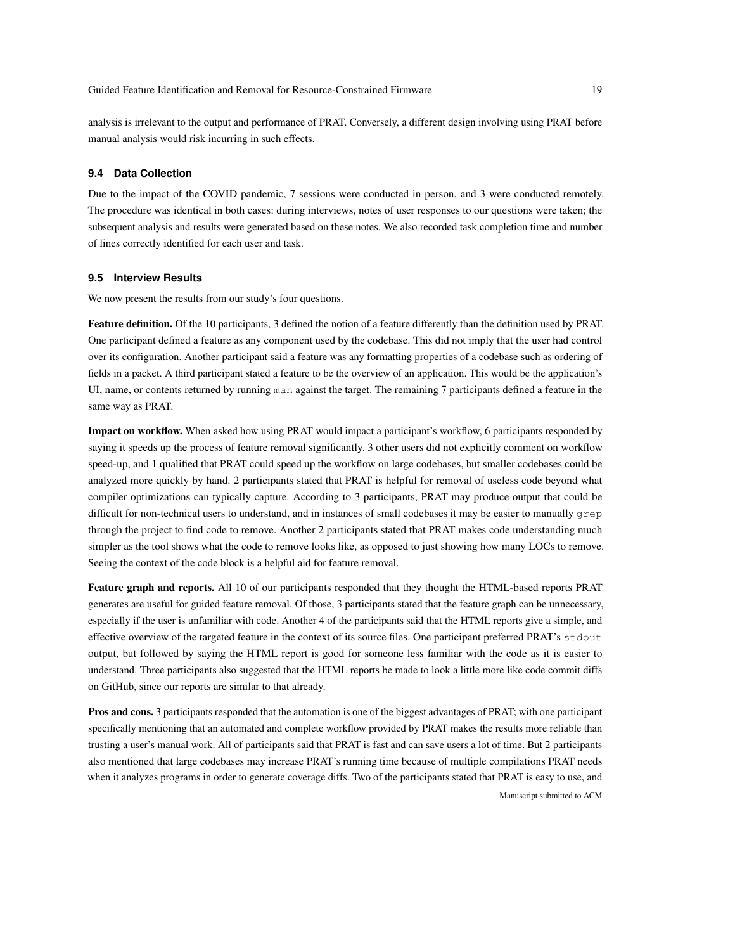analysis is irrelevant to the output and performance of PRAT. Conversely, a different design involving using PRAT before manual analysis would risk incurring in such effects.

# **9.4 Data Collection**

Due to the impact of the COVID pandemic, 7 sessions were conducted in person, and 3 were conducted remotely. The procedure was identical in both cases: during interviews, notes of user responses to our questions were taken; the subsequent analysis and results were generated based on these notes. We also recorded task completion time and number of lines correctly identified for each user and task.

# **9.5 Interview Results**

We now present the results from our study's four questions.

Feature definition. Of the 10 participants, 3 defined the notion of a feature differently than the definition used by PRAT. One participant defined a feature as any component used by the codebase. This did not imply that the user had control over its configuration. Another participant said a feature was any formatting properties of a codebase such as ordering of fields in a packet. A third participant stated a feature to be the overview of an application. This would be the application's UI, name, or contents returned by running man against the target. The remaining 7 participants defined a feature in the same way as PRAT.

Impact on workflow. When asked how using PRAT would impact a participant's workflow, 6 participants responded by saying it speeds up the process of feature removal significantly. 3 other users did not explicitly comment on workflow speed-up, and 1 qualified that PRAT could speed up the workflow on large codebases, but smaller codebases could be analyzed more quickly by hand. 2 participants stated that PRAT is helpful for removal of useless code beyond what compiler optimizations can typically capture. According to 3 participants, PRAT may produce output that could be difficult for non-technical users to understand, and in instances of small codebases it may be easier to manually grep through the project to find code to remove. Another 2 participants stated that PRAT makes code understanding much simpler as the tool shows what the code to remove looks like, as opposed to just showing how many LOCs to remove. Seeing the context of the code block is a helpful aid for feature removal.

Feature graph and reports. All 10 of our participants responded that they thought the HTML-based reports PRAT generates are useful for guided feature removal. Of those, 3 participants stated that the feature graph can be unnecessary, especially if the user is unfamiliar with code. Another 4 of the participants said that the HTML reports give a simple, and effective overview of the targeted feature in the context of its source files. One participant preferred PRAT's stdout output, but followed by saying the HTML report is good for someone less familiar with the code as it is easier to understand. Three participants also suggested that the HTML reports be made to look a little more like code commit diffs on GitHub, since our reports are similar to that already.

Pros and cons. 3 participants responded that the automation is one of the biggest advantages of PRAT; with one participant specifically mentioning that an automated and complete workflow provided by PRAT makes the results more reliable than trusting a user's manual work. All of participants said that PRAT is fast and can save users a lot of time. But 2 participants also mentioned that large codebases may increase PRAT's running time because of multiple compilations PRAT needs when it analyzes programs in order to generate coverage diffs. Two of the participants stated that PRAT is easy to use, and Manuscript submitted to ACM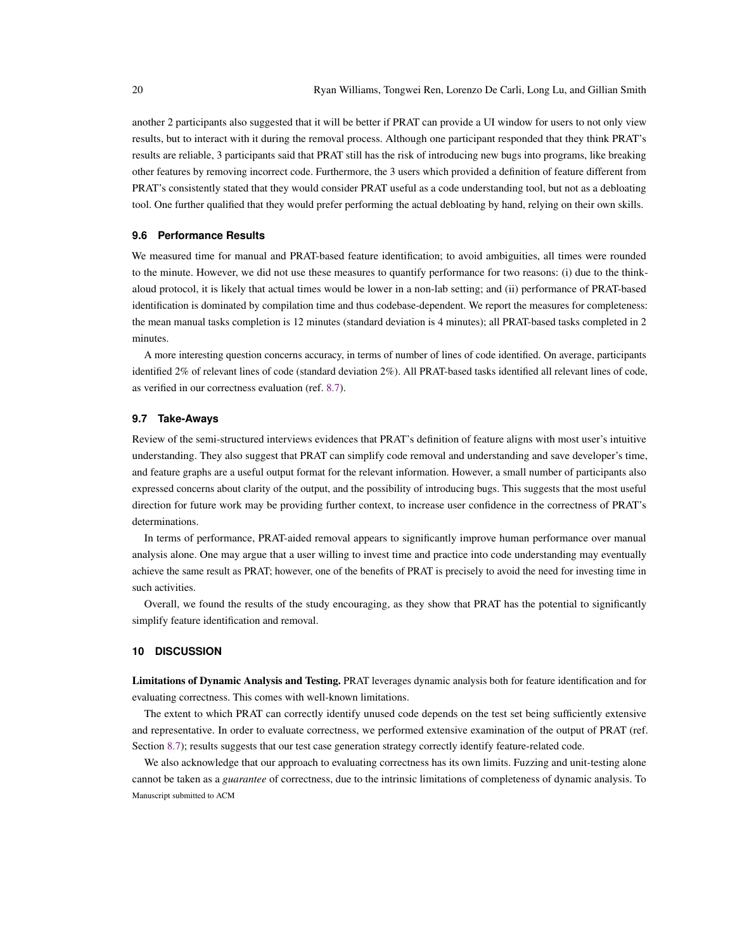another 2 participants also suggested that it will be better if PRAT can provide a UI window for users to not only view results, but to interact with it during the removal process. Although one participant responded that they think PRAT's results are reliable, 3 participants said that PRAT still has the risk of introducing new bugs into programs, like breaking other features by removing incorrect code. Furthermore, the 3 users which provided a definition of feature different from PRAT's consistently stated that they would consider PRAT useful as a code understanding tool, but not as a debloating tool. One further qualified that they would prefer performing the actual debloating by hand, relying on their own skills.

# **9.6 Performance Results**

We measured time for manual and PRAT-based feature identification; to avoid ambiguities, all times were rounded to the minute. However, we did not use these measures to quantify performance for two reasons: (i) due to the thinkaloud protocol, it is likely that actual times would be lower in a non-lab setting; and (ii) performance of PRAT-based identification is dominated by compilation time and thus codebase-dependent. We report the measures for completeness: the mean manual tasks completion is 12 minutes (standard deviation is 4 minutes); all PRAT-based tasks completed in 2 minutes.

A more interesting question concerns accuracy, in terms of number of lines of code identified. On average, participants identified 2% of relevant lines of code (standard deviation 2%). All PRAT-based tasks identified all relevant lines of code, as verified in our correctness evaluation (ref. [8.7\)](#page-15-0).

#### **9.7 Take-Aways**

Review of the semi-structured interviews evidences that PRAT's definition of feature aligns with most user's intuitive understanding. They also suggest that PRAT can simplify code removal and understanding and save developer's time, and feature graphs are a useful output format for the relevant information. However, a small number of participants also expressed concerns about clarity of the output, and the possibility of introducing bugs. This suggests that the most useful direction for future work may be providing further context, to increase user confidence in the correctness of PRAT's determinations.

In terms of performance, PRAT-aided removal appears to significantly improve human performance over manual analysis alone. One may argue that a user willing to invest time and practice into code understanding may eventually achieve the same result as PRAT; however, one of the benefits of PRAT is precisely to avoid the need for investing time in such activities.

Overall, we found the results of the study encouraging, as they show that PRAT has the potential to significantly simplify feature identification and removal.

# <span id="page-19-0"></span>**10 DISCUSSION**

Limitations of Dynamic Analysis and Testing. PRAT leverages dynamic analysis both for feature identification and for evaluating correctness. This comes with well-known limitations.

The extent to which PRAT can correctly identify unused code depends on the test set being sufficiently extensive and representative. In order to evaluate correctness, we performed extensive examination of the output of PRAT (ref. Section [8.7\)](#page-15-0); results suggests that our test case generation strategy correctly identify feature-related code.

We also acknowledge that our approach to evaluating correctness has its own limits. Fuzzing and unit-testing alone cannot be taken as a *guarantee* of correctness, due to the intrinsic limitations of completeness of dynamic analysis. To Manuscript submitted to ACM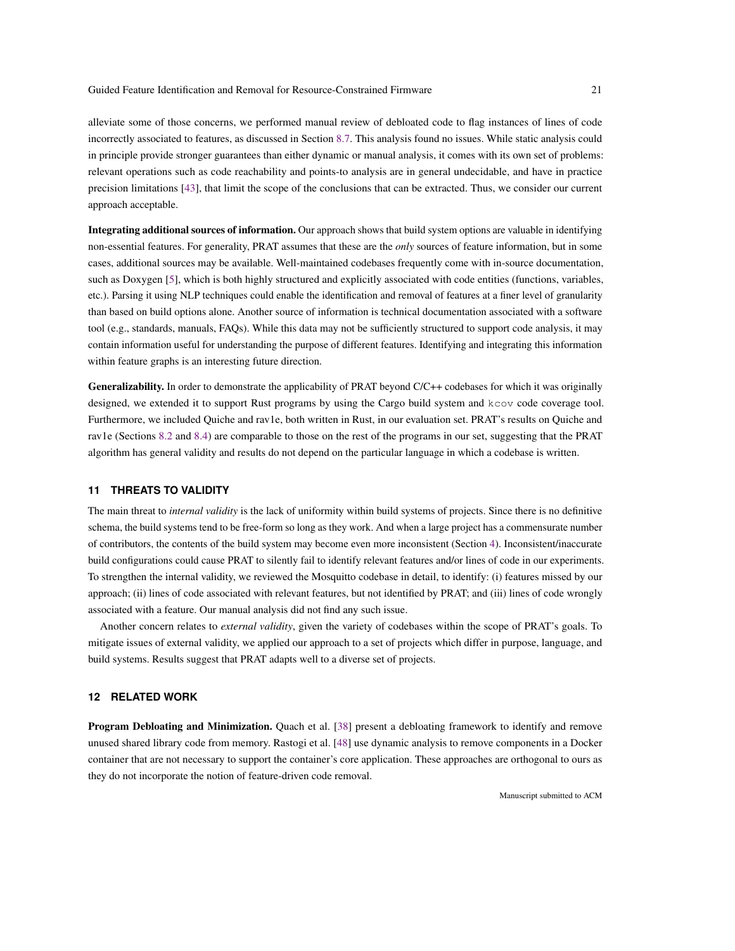alleviate some of those concerns, we performed manual review of debloated code to flag instances of lines of code incorrectly associated to features, as discussed in Section [8.7.](#page-15-0) This analysis found no issues. While static analysis could in principle provide stronger guarantees than either dynamic or manual analysis, it comes with its own set of problems: relevant operations such as code reachability and points-to analysis are in general undecidable, and have in practice precision limitations [\[43\]](#page-23-20), that limit the scope of the conclusions that can be extracted. Thus, we consider our current approach acceptable.

Integrating additional sources of information. Our approach shows that build system options are valuable in identifying non-essential features. For generality, PRAT assumes that these are the *only* sources of feature information, but in some cases, additional sources may be available. Well-maintained codebases frequently come with in-source documentation, such as Doxygen [\[5\]](#page-22-21), which is both highly structured and explicitly associated with code entities (functions, variables, etc.). Parsing it using NLP techniques could enable the identification and removal of features at a finer level of granularity than based on build options alone. Another source of information is technical documentation associated with a software tool (e.g., standards, manuals, FAQs). While this data may not be sufficiently structured to support code analysis, it may contain information useful for understanding the purpose of different features. Identifying and integrating this information within feature graphs is an interesting future direction.

Generalizability. In order to demonstrate the applicability of PRAT beyond C/C++ codebases for which it was originally designed, we extended it to support Rust programs by using the Cargo build system and kcov code coverage tool. Furthermore, we included Quiche and rav1e, both written in Rust, in our evaluation set. PRAT's results on Quiche and rav1e (Sections [8.2](#page-12-0) and [8.4\)](#page-13-1) are comparable to those on the rest of the programs in our set, suggesting that the PRAT algorithm has general validity and results do not depend on the particular language in which a codebase is written.

#### **11 THREATS TO VALIDITY**

The main threat to *internal validity* is the lack of uniformity within build systems of projects. Since there is no definitive schema, the build systems tend to be free-form so long as they work. And when a large project has a commensurate number of contributors, the contents of the build system may become even more inconsistent (Section [4\)](#page-6-0). Inconsistent/inaccurate build configurations could cause PRAT to silently fail to identify relevant features and/or lines of code in our experiments. To strengthen the internal validity, we reviewed the Mosquitto codebase in detail, to identify: (i) features missed by our approach; (ii) lines of code associated with relevant features, but not identified by PRAT; and (iii) lines of code wrongly associated with a feature. Our manual analysis did not find any such issue.

Another concern relates to *external validity*, given the variety of codebases within the scope of PRAT's goals. To mitigate issues of external validity, we applied our approach to a set of projects which differ in purpose, language, and build systems. Results suggest that PRAT adapts well to a diverse set of projects.

#### **12 RELATED WORK**

Program Debloating and Minimization. Quach et al. [\[38\]](#page-23-12) present a debloating framework to identify and remove unused shared library code from memory. Rastogi et al. [\[48\]](#page-23-13) use dynamic analysis to remove components in a Docker container that are not necessary to support the container's core application. These approaches are orthogonal to ours as they do not incorporate the notion of feature-driven code removal.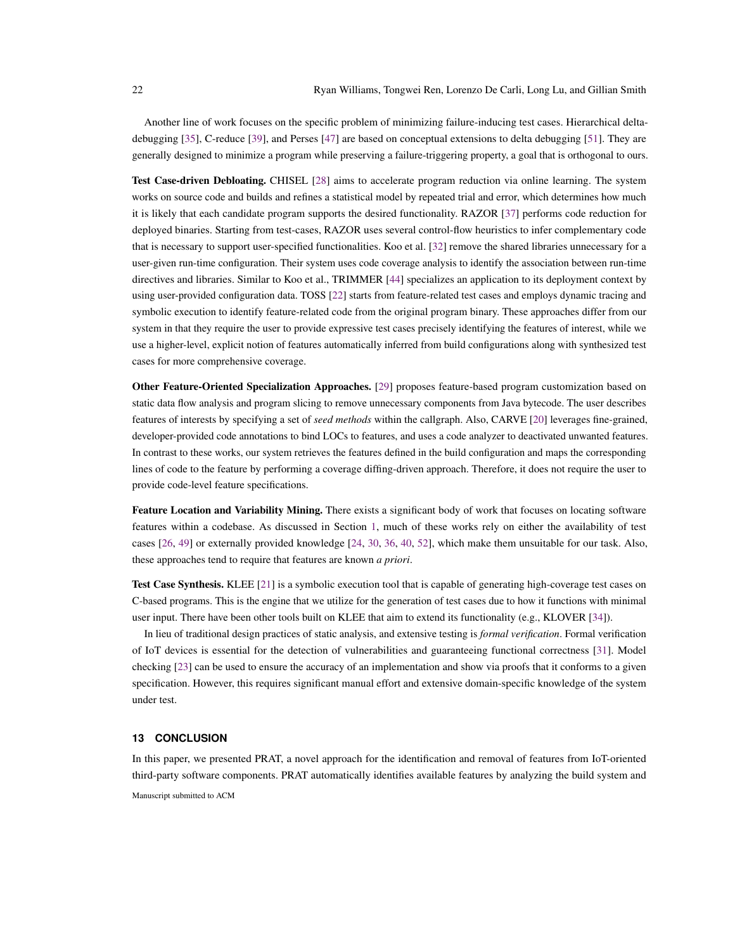Another line of work focuses on the specific problem of minimizing failure-inducing test cases. Hierarchical deltadebugging [\[35\]](#page-23-21), C-reduce [\[39\]](#page-23-22), and Perses [\[47\]](#page-23-23) are based on conceptual extensions to delta debugging [\[51\]](#page-23-24). They are generally designed to minimize a program while preserving a failure-triggering property, a goal that is orthogonal to ours.

Test Case-driven Debloating. CHISEL [\[28\]](#page-23-4) aims to accelerate program reduction via online learning. The system works on source code and builds and refines a statistical model by repeated trial and error, which determines how much it is likely that each candidate program supports the desired functionality. RAZOR [\[37\]](#page-23-5) performs code reduction for deployed binaries. Starting from test-cases, RAZOR uses several control-flow heuristics to infer complementary code that is necessary to support user-specified functionalities. Koo et al. [\[32\]](#page-23-25) remove the shared libraries unnecessary for a user-given run-time configuration. Their system uses code coverage analysis to identify the association between run-time directives and libraries. Similar to Koo et al., TRIMMER [\[44\]](#page-23-26) specializes an application to its deployment context by using user-provided configuration data. TOSS [\[22\]](#page-23-2) starts from feature-related test cases and employs dynamic tracing and symbolic execution to identify feature-related code from the original program binary. These approaches differ from our system in that they require the user to provide expressive test cases precisely identifying the features of interest, while we use a higher-level, explicit notion of features automatically inferred from build configurations along with synthesized test cases for more comprehensive coverage.

Other Feature-Oriented Specialization Approaches. [\[29\]](#page-23-8) proposes feature-based program customization based on static data flow analysis and program slicing to remove unnecessary components from Java bytecode. The user describes features of interests by specifying a set of *seed methods* within the callgraph. Also, CARVE [\[20\]](#page-22-2) leverages fine-grained, developer-provided code annotations to bind LOCs to features, and uses a code analyzer to deactivated unwanted features. In contrast to these works, our system retrieves the features defined in the build configuration and maps the corresponding lines of code to the feature by performing a coverage diffing-driven approach. Therefore, it does not require the user to provide code-level feature specifications.

Feature Location and Variability Mining. There exists a significant body of work that focuses on locating software features within a codebase. As discussed in Section [1,](#page-0-0) much of these works rely on either the availability of test cases [\[26,](#page-23-3) [49\]](#page-23-6) or externally provided knowledge [\[24,](#page-23-7) [30,](#page-23-9) [36,](#page-23-10) [40,](#page-23-11) [52\]](#page-24-1), which make them unsuitable for our task. Also, these approaches tend to require that features are known *a priori*.

Test Case Synthesis. KLEE [\[21\]](#page-22-19) is a symbolic execution tool that is capable of generating high-coverage test cases on C-based programs. This is the engine that we utilize for the generation of test cases due to how it functions with minimal user input. There have been other tools built on KLEE that aim to extend its functionality (e.g., KLOVER [\[34\]](#page-23-27)).

In lieu of traditional design practices of static analysis, and extensive testing is *formal verification*. Formal verification of IoT devices is essential for the detection of vulnerabilities and guaranteeing functional correctness [\[31\]](#page-23-28). Model checking [\[23\]](#page-23-29) can be used to ensure the accuracy of an implementation and show via proofs that it conforms to a given specification. However, this requires significant manual effort and extensive domain-specific knowledge of the system under test.

# **13 CONCLUSION**

In this paper, we presented PRAT, a novel approach for the identification and removal of features from IoT-oriented third-party software components. PRAT automatically identifies available features by analyzing the build system and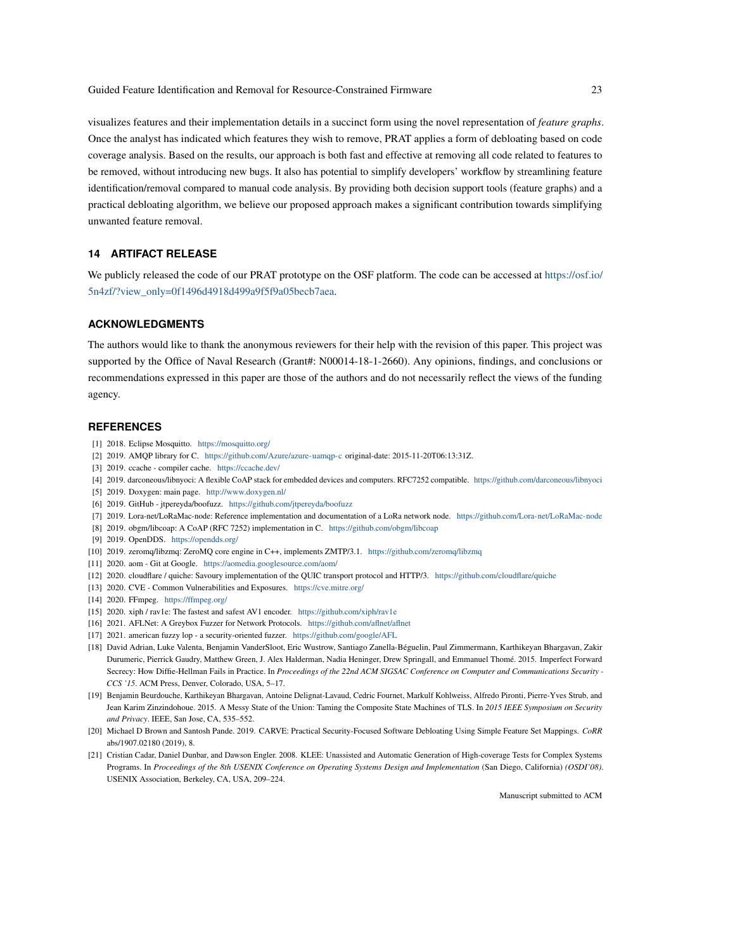visualizes features and their implementation details in a succinct form using the novel representation of *feature graphs*. Once the analyst has indicated which features they wish to remove, PRAT applies a form of debloating based on code coverage analysis. Based on the results, our approach is both fast and effective at removing all code related to features to be removed, without introducing new bugs. It also has potential to simplify developers' workflow by streamlining feature identification/removal compared to manual code analysis. By providing both decision support tools (feature graphs) and a practical debloating algorithm, we believe our proposed approach makes a significant contribution towards simplifying unwanted feature removal.

# <span id="page-22-3"></span>**14 ARTIFACT RELEASE**

We publicly released the code of our PRAT prototype on the OSF platform. The code can be accessed at [https://osf.io/](https://osf.io/5n4zf/?view_only=0f1496d4918d499a9f5f9a05becb7aea) [5n4zf/?view\\_only=0f1496d4918d499a9f5f9a05becb7aea.](https://osf.io/5n4zf/?view_only=0f1496d4918d499a9f5f9a05becb7aea)

# **ACKNOWLEDGMENTS**

The authors would like to thank the anonymous reviewers for their help with the revision of this paper. This project was supported by the Office of Naval Research (Grant#: N00014-18-1-2660). Any opinions, findings, and conclusions or recommendations expressed in this paper are those of the authors and do not necessarily reflect the views of the funding agency.

#### **REFERENCES**

- <span id="page-22-4"></span>[1] 2018. Eclipse Mosquitto. <https://mosquitto.org/>
- <span id="page-22-5"></span>[2] 2019. AMQP library for C. <https://github.com/Azure/azure-uamqp-c> original-date: 2015-11-20T06:13:31Z.
- <span id="page-22-16"></span>[3] 2019. ccache - compiler cache. <https://ccache.dev/>
- <span id="page-22-10"></span>[4] 2019. darconeous/libnyoci: A flexible CoAP stack for embedded devices and computers. RFC7252 compatible. <https://github.com/darconeous/libnyoci>
- <span id="page-22-21"></span>[5] 2019. Doxygen: main page. <http://www.doxygen.nl/>
- <span id="page-22-20"></span>[6] 2019. GitHub - jtpereyda/boofuzz. <https://github.com/jtpereyda/boofuzz>
- <span id="page-22-8"></span>[7] 2019. Lora-net/LoRaMac-node: Reference implementation and documentation of a LoRa network node. <https://github.com/Lora-net/LoRaMac-node>
- <span id="page-22-9"></span>[8] 2019. obgm/libcoap: A CoAP (RFC 7252) implementation in C. <https://github.com/obgm/libcoap>
- <span id="page-22-6"></span>[9] 2019. OpenDDS. <https://opendds.org/>
- <span id="page-22-7"></span>[10] 2019. zeromq/libzmq: ZeroMQ core engine in C++, implements ZMTP/3.1. <https://github.com/zeromq/libzmq>
- <span id="page-22-14"></span>[11] 2020. aom - Git at Google. <https://aomedia.googlesource.com/aom/>
- <span id="page-22-11"></span>[12] 2020. cloudflare / quiche: Savoury implementation of the QUIC transport protocol and HTTP/3. <https://github.com/cloudflare/quiche>
- <span id="page-22-15"></span>[13] 2020. CVE - Common Vulnerabilities and Exposures. <https://cve.mitre.org/>
- <span id="page-22-12"></span>[14] 2020. FFmpeg. <https://ffmpeg.org/>
- <span id="page-22-13"></span>[15] 2020. xiph / rav1e: The fastest and safest AV1 encoder. <https://github.com/xiph/rav1e>
- <span id="page-22-18"></span>[16] 2021. AFLNet: A Greybox Fuzzer for Network Protocols. <https://github.com/aflnet/aflnet>
- <span id="page-22-17"></span>[17] 2021. american fuzzy lop - a security-oriented fuzzer. <https://github.com/google/AFL>
- <span id="page-22-0"></span>[18] David Adrian, Luke Valenta, Benjamin VanderSloot, Eric Wustrow, Santiago Zanella-Béguelin, Paul Zimmermann, Karthikeyan Bhargavan, Zakir Durumeric, Pierrick Gaudry, Matthew Green, J. Alex Halderman, Nadia Heninger, Drew Springall, and Emmanuel Thomé. 2015. Imperfect Forward Secrecy: How Diffie-Hellman Fails in Practice. In *Proceedings of the 22nd ACM SIGSAC Conference on Computer and Communications Security - CCS '15*. ACM Press, Denver, Colorado, USA, 5–17.
- <span id="page-22-1"></span>[19] Benjamin Beurdouche, Karthikeyan Bhargavan, Antoine Delignat-Lavaud, Cedric Fournet, Markulf Kohlweiss, Alfredo Pironti, Pierre-Yves Strub, and Jean Karim Zinzindohoue. 2015. A Messy State of the Union: Taming the Composite State Machines of TLS. In *2015 IEEE Symposium on Security and Privacy*. IEEE, San Jose, CA, 535–552.
- <span id="page-22-2"></span>[20] Michael D Brown and Santosh Pande. 2019. CARVE: Practical Security-Focused Software Debloating Using Simple Feature Set Mappings. *CoRR* abs/1907.02180 (2019), 8.
- <span id="page-22-19"></span>[21] Cristian Cadar, Daniel Dunbar, and Dawson Engler. 2008. KLEE: Unassisted and Automatic Generation of High-coverage Tests for Complex Systems Programs. In *Proceedings of the 8th USENIX Conference on Operating Systems Design and Implementation* (San Diego, California) *(OSDI'08)*. USENIX Association, Berkeley, CA, USA, 209–224.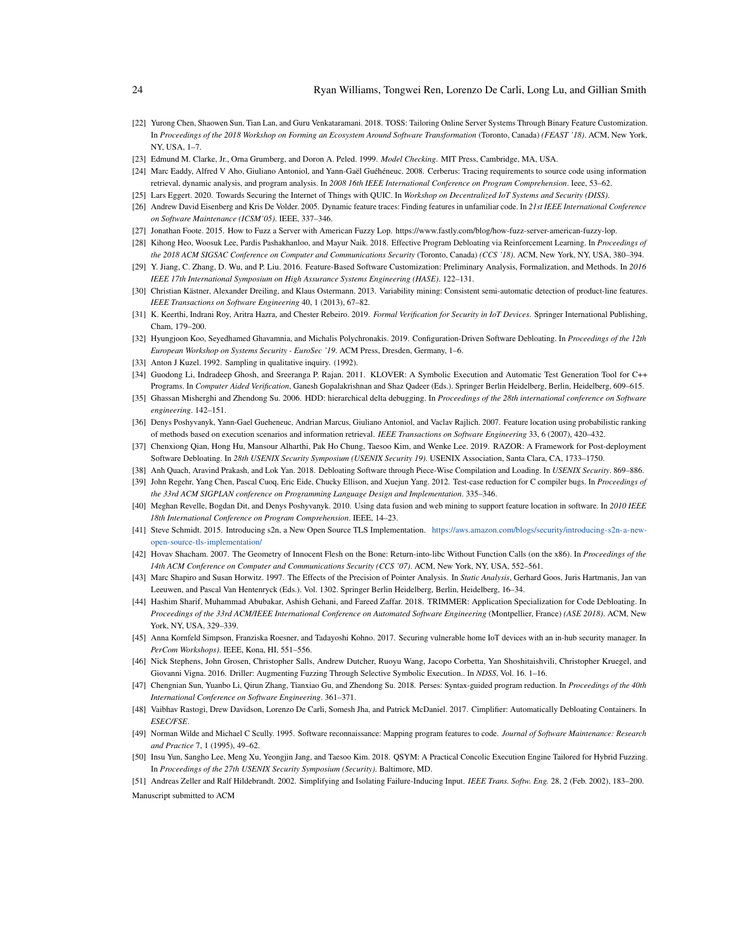- <span id="page-23-2"></span>[22] Yurong Chen, Shaowen Sun, Tian Lan, and Guru Venkataramani. 2018. TOSS: Tailoring Online Server Systems Through Binary Feature Customization. In *Proceedings of the 2018 Workshop on Forming an Ecosystem Around Software Transformation* (Toronto, Canada) *(FEAST '18)*. ACM, New York, NY, USA, 1–7.
- <span id="page-23-29"></span>[23] Edmund M. Clarke, Jr., Orna Grumberg, and Doron A. Peled. 1999. *Model Checking*. MIT Press, Cambridge, MA, USA.
- <span id="page-23-7"></span>[24] Marc Eaddy, Alfred V Aho, Giuliano Antoniol, and Yann-Gaël Guéhéneuc. 2008. Cerberus: Tracing requirements to source code using information retrieval, dynamic analysis, and program analysis. In *2008 16th IEEE International Conference on Program Comprehension*. Ieee, 53–62.
- <span id="page-23-14"></span>[25] Lars Eggert. 2020. Towards Securing the Internet of Things with QUIC. In *Workshop on Decentralized IoT Systems and Security (DISS)*.
- <span id="page-23-3"></span>[26] Andrew David Eisenberg and Kris De Volder. 2005. Dynamic feature traces: Finding features in unfamiliar code. In *21st IEEE International Conference on Software Maintenance (ICSM'05)*. IEEE, 337–346.
- <span id="page-23-18"></span>[27] Jonathan Foote. 2015. How to Fuzz a Server with American Fuzzy Lop. https://www.fastly.com/blog/how-fuzz-server-american-fuzzy-lop.
- <span id="page-23-4"></span>[28] Kihong Heo, Woosuk Lee, Pardis Pashakhanloo, and Mayur Naik. 2018. Effective Program Debloating via Reinforcement Learning. In *Proceedings of the 2018 ACM SIGSAC Conference on Computer and Communications Security* (Toronto, Canada) *(CCS '18)*. ACM, New York, NY, USA, 380–394.
- <span id="page-23-8"></span>[29] Y. Jiang, C. Zhang, D. Wu, and P. Liu. 2016. Feature-Based Software Customization: Preliminary Analysis, Formalization, and Methods. In *2016 IEEE 17th International Symposium on High Assurance Systems Engineering (HASE)*. 122–131.
- <span id="page-23-9"></span>[30] Christian Kästner, Alexander Dreiling, and Klaus Ostermann. 2013. Variability mining: Consistent semi-automatic detection of product-line features. *IEEE Transactions on Software Engineering* 40, 1 (2013), 67–82.
- <span id="page-23-28"></span>[31] K. Keerthi, Indrani Roy, Aritra Hazra, and Chester Rebeiro. 2019. *Formal Verification for Security in IoT Devices*. Springer International Publishing, Cham, 179–200.
- <span id="page-23-25"></span>[32] Hyungjoon Koo, Seyedhamed Ghavamnia, and Michalis Polychronakis. 2019. Configuration-Driven Software Debloating. In *Proceedings of the 12th European Workshop on Systems Security - EuroSec '19*. ACM Press, Dresden, Germany, 1–6.
- <span id="page-23-19"></span>[33] Anton J Kuzel. 1992. Sampling in qualitative inquiry. (1992).
- <span id="page-23-27"></span>[34] Guodong Li, Indradeep Ghosh, and Sreeranga P. Rajan. 2011. KLOVER: A Symbolic Execution and Automatic Test Generation Tool for C++ Programs. In *Computer Aided Verification*, Ganesh Gopalakrishnan and Shaz Qadeer (Eds.). Springer Berlin Heidelberg, Berlin, Heidelberg, 609–615.
- <span id="page-23-21"></span>[35] Ghassan Misherghi and Zhendong Su. 2006. HDD: hierarchical delta debugging. In *Proceedings of the 28th international conference on Software engineering*. 142–151.
- <span id="page-23-10"></span>[36] Denys Poshyvanyk, Yann-Gael Gueheneuc, Andrian Marcus, Giuliano Antoniol, and Vaclav Rajlich. 2007. Feature location using probabilistic ranking of methods based on execution scenarios and information retrieval. *IEEE Transactions on Software Engineering* 33, 6 (2007), 420–432.
- <span id="page-23-5"></span>[37] Chenxiong Qian, Hong Hu, Mansour Alharthi, Pak Ho Chung, Taesoo Kim, and Wenke Lee. 2019. RAZOR: A Framework for Post-deployment Software Debloating. In *28th USENIX Security Symposium (USENIX Security 19)*. USENIX Association, Santa Clara, CA, 1733–1750.
- <span id="page-23-22"></span><span id="page-23-12"></span>[38] Anh Quach, Aravind Prakash, and Lok Yan. 2018. Debloating Software through Piece-Wise Compilation and Loading. In *USENIX Security*. 869–886. [39] John Regehr, Yang Chen, Pascal Cuoq, Eric Eide, Chucky Ellison, and Xuejun Yang. 2012. Test-case reduction for C compiler bugs. In *Proceedings of*
- *the 33rd ACM SIGPLAN conference on Programming Language Design and Implementation*. 335–346.
- <span id="page-23-11"></span>[40] Meghan Revelle, Bogdan Dit, and Denys Poshyvanyk. 2010. Using data fusion and web mining to support feature location in software. In *2010 IEEE 18th International Conference on Program Comprehension*. IEEE, 14–23.
- <span id="page-23-0"></span>[41] Steve Schmidt. 2015. Introducing s2n, a New Open Source TLS Implementation. [https://aws.amazon.com/blogs/security/introducing-s2n-a-new](https://aws.amazon.com/blogs/security/introducing-s2n-a-new-open-source-tls-implementation/)[open-source-tls-implementation/](https://aws.amazon.com/blogs/security/introducing-s2n-a-new-open-source-tls-implementation/)
- <span id="page-23-15"></span>[42] Hovav Shacham. 2007. The Geometry of Innocent Flesh on the Bone: Return-into-libc Without Function Calls (on the x86). In *Proceedings of the 14th ACM Conference on Computer and Communications Security (CCS '07)*. ACM, New York, NY, USA, 552–561.
- <span id="page-23-20"></span>[43] Marc Shapiro and Susan Horwitz. 1997. The Effects of the Precision of Pointer Analysis. In *Static Analysis*, Gerhard Goos, Juris Hartmanis, Jan van Leeuwen, and Pascal Van Hentenryck (Eds.). Vol. 1302. Springer Berlin Heidelberg, Berlin, Heidelberg, 16–34.
- <span id="page-23-26"></span>[44] Hashim Sharif, Muhammad Abubakar, Ashish Gehani, and Fareed Zaffar. 2018. TRIMMER: Application Specialization for Code Debloating. In *Proceedings of the 33rd ACM/IEEE International Conference on Automated Software Engineering* (Montpellier, France) *(ASE 2018)*. ACM, New York, NY, USA, 329–339.
- <span id="page-23-1"></span>[45] Anna Kornfeld Simpson, Franziska Roesner, and Tadayoshi Kohno. 2017. Securing vulnerable home IoT devices with an in-hub security manager. In *PerCom Workshops)*. IEEE, Kona, HI, 551–556.
- <span id="page-23-17"></span>[46] Nick Stephens, John Grosen, Christopher Salls, Andrew Dutcher, Ruoyu Wang, Jacopo Corbetta, Yan Shoshitaishvili, Christopher Kruegel, and Giovanni Vigna. 2016. Driller: Augmenting Fuzzing Through Selective Symbolic Execution.. In *NDSS*, Vol. 16. 1–16.
- <span id="page-23-23"></span>[47] Chengnian Sun, Yuanbo Li, Qirun Zhang, Tianxiao Gu, and Zhendong Su. 2018. Perses: Syntax-guided program reduction. In *Proceedings of the 40th International Conference on Software Engineering*. 361–371.
- <span id="page-23-13"></span>[48] Vaibhav Rastogi, Drew Davidson, Lorenzo De Carli, Somesh Jha, and Patrick McDaniel. 2017. Cimplifier: Automatically Debloating Containers. In *ESEC/FSE*.
- <span id="page-23-6"></span>[49] Norman Wilde and Michael C Scully. 1995. Software reconnaissance: Mapping program features to code. *Journal of Software Maintenance: Research and Practice* 7, 1 (1995), 49–62.
- <span id="page-23-16"></span>[50] Insu Yun, Sangho Lee, Meng Xu, Yeongjin Jang, and Taesoo Kim. 2018. QSYM: A Practical Concolic Execution Engine Tailored for Hybrid Fuzzing. In *Proceedings of the 27th USENIX Security Symposium (Security)*. Baltimore, MD.
- <span id="page-23-24"></span>[51] Andreas Zeller and Ralf Hildebrandt. 2002. Simplifying and Isolating Failure-Inducing Input. *IEEE Trans. Softw. Eng.* 28, 2 (Feb. 2002), 183–200. Manuscript submitted to ACM